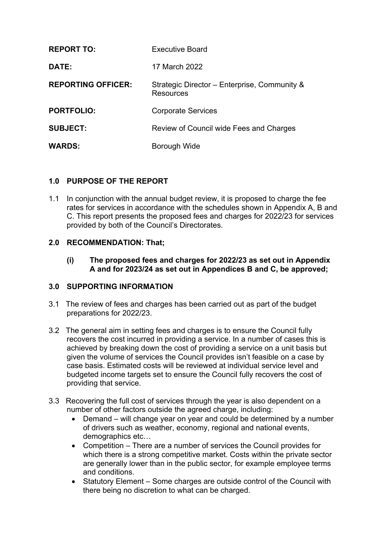| <b>REPORT TO:</b>         | <b>Executive Board</b>                                           |
|---------------------------|------------------------------------------------------------------|
| DATE:                     | 17 March 2022                                                    |
| <b>REPORTING OFFICER:</b> | Strategic Director - Enterprise, Community &<br><b>Resources</b> |
| <b>PORTFOLIO:</b>         | <b>Corporate Services</b>                                        |
| <b>SUBJECT:</b>           | Review of Council wide Fees and Charges                          |
| <b>WARDS:</b>             | Borough Wide                                                     |

## **1.0 PURPOSE OF THE REPORT**

1.1 In conjunction with the annual budget review, it is proposed to charge the fee rates for services in accordance with the schedules shown in Appendix A, B and C. This report presents the proposed fees and charges for 2022/23 for services provided by both of the Council's Directorates.

## **2.0 RECOMMENDATION: That;**

**(i) The proposed fees and charges for 2022/23 as set out in Appendix A and for 2023/24 as set out in Appendices B and C, be approved;**

### **3.0 SUPPORTING INFORMATION**

- 3.1 The review of fees and charges has been carried out as part of the budget preparations for 2022/23.
- 3.2 The general aim in setting fees and charges is to ensure the Council fully recovers the cost incurred in providing a service. In a number of cases this is achieved by breaking down the cost of providing a service on a unit basis but given the volume of services the Council provides isn't feasible on a case by case basis. Estimated costs will be reviewed at individual service level and budgeted income targets set to ensure the Council fully recovers the cost of providing that service.
- 3.3 Recovering the full cost of services through the year is also dependent on a number of other factors outside the agreed charge, including:
	- Demand will change year on year and could be determined by a number of drivers such as weather, economy, regional and national events, demographics etc…
	- Competition There are a number of services the Council provides for which there is a strong competitive market. Costs within the private sector are generally lower than in the public sector, for example employee terms and conditions.
	- Statutory Element Some charges are outside control of the Council with there being no discretion to what can be charged.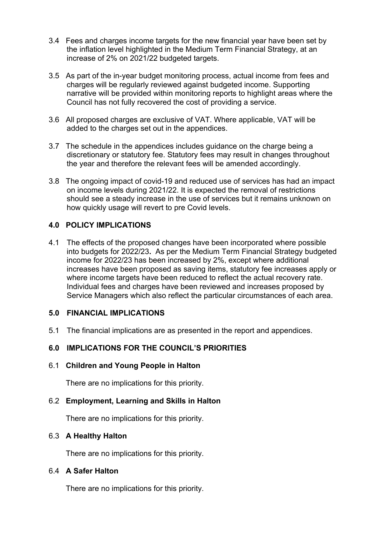- 3.4 Fees and charges income targets for the new financial year have been set by the inflation level highlighted in the Medium Term Financial Strategy, at an increase of 2% on 2021/22 budgeted targets.
- 3.5 As part of the in-year budget monitoring process, actual income from fees and charges will be regularly reviewed against budgeted income. Supporting narrative will be provided within monitoring reports to highlight areas where the Council has not fully recovered the cost of providing a service.
- 3.6 All proposed charges are exclusive of VAT. Where applicable, VAT will be added to the charges set out in the appendices.
- 3.7 The schedule in the appendices includes guidance on the charge being a discretionary or statutory fee. Statutory fees may result in changes throughout the year and therefore the relevant fees will be amended accordingly.
- 3.8 The ongoing impact of covid-19 and reduced use of services has had an impact on income levels during 2021/22. It is expected the removal of restrictions should see a steady increase in the use of services but it remains unknown on how quickly usage will revert to pre Covid levels.

## **4.0 POLICY IMPLICATIONS**

4.1 The effects of the proposed changes have been incorporated where possible into budgets for 2022/23**.** As per the Medium Term Financial Strategy budgeted income for 2022/23 has been increased by 2%, except where additional increases have been proposed as saving items, statutory fee increases apply or where income targets have been reduced to reflect the actual recovery rate. Individual fees and charges have been reviewed and increases proposed by Service Managers which also reflect the particular circumstances of each area.

### **5.0 FINANCIAL IMPLICATIONS**

5.1 The financial implications are as presented in the report and appendices.

## **6.0 IMPLICATIONS FOR THE COUNCIL'S PRIORITIES**

### 6.1 **Children and Young People in Halton**

There are no implications for this priority.

### 6.2 **Employment, Learning and Skills in Halton**

There are no implications for this priority.

### 6.3 **A Healthy Halton**

There are no implications for this priority.

## 6.4 **A Safer Halton**

There are no implications for this priority.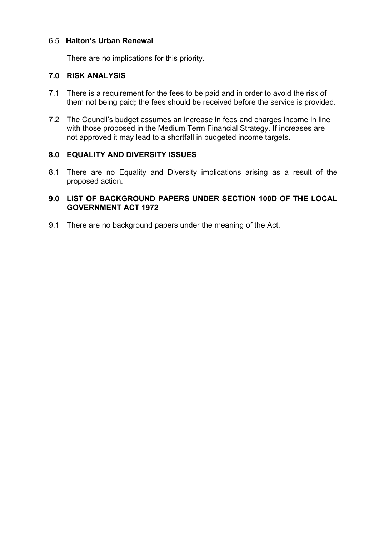## 6.5 **Halton's Urban Renewal**

There are no implications for this priority.

## **7.0 RISK ANALYSIS**

- 7.1 There is a requirement for the fees to be paid and in order to avoid the risk of them not being paid**;** the fees should be received before the service is provided.
- 7.2 The Council's budget assumes an increase in fees and charges income in line with those proposed in the Medium Term Financial Strategy. If increases are not approved it may lead to a shortfall in budgeted income targets.

## **8.0 EQUALITY AND DIVERSITY ISSUES**

8.1 There are no Equality and Diversity implications arising as a result of the proposed action*.*

## **9.0 LIST OF BACKGROUND PAPERS UNDER SECTION 100D OF THE LOCAL GOVERNMENT ACT 1972**

9.1 There are no background papers under the meaning of the Act.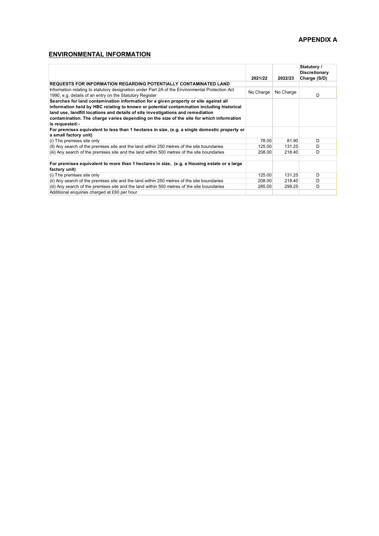### **APPENDIX A**

## **ENVIRONMENTAL INFORMATION**

|                                                                                                                                                                                                                                                                                                                                                                                    | 2021/22   | 2022/23   | Statutory /<br><b>Discretionary</b><br>Charge (S/D) |
|------------------------------------------------------------------------------------------------------------------------------------------------------------------------------------------------------------------------------------------------------------------------------------------------------------------------------------------------------------------------------------|-----------|-----------|-----------------------------------------------------|
| <b>REQUESTS FOR INFORMATION REGARDING POTENTIALLY CONTAMINATED LAND</b>                                                                                                                                                                                                                                                                                                            |           |           |                                                     |
| Information relating to statutory designation under Part 2A of the Environmental Protection Act<br>1990, e.g. details of an entry on the Statutory Register                                                                                                                                                                                                                        | No Charge | No Charge | D.                                                  |
| Searches for land contamination information for a given property or site against all<br>information held by HBC relating to known or potential contamination including historical<br>land use, landfill locations and details of site investigations and remediation<br>contamination. The charge varies depending on the size of the site for which information<br>is requested:- |           |           |                                                     |
| For premises equivalent to less than 1 hectares in size, (e.g. a single domestic property or<br>a small factory unit)                                                                                                                                                                                                                                                              |           |           |                                                     |
| (i) The premises site only                                                                                                                                                                                                                                                                                                                                                         | 78.00     | 81.90     | D                                                   |
| (II) Any search of the premises site and the land within 250 metres of the site boundaries                                                                                                                                                                                                                                                                                         | 125.00    | 131.25    | D                                                   |
| (iii) Any search of the premises site and the land within 500 metres of the site boundaries                                                                                                                                                                                                                                                                                        | 208.00    | 218.40    | D                                                   |
| For premises equivalent to more than 1 hectares in size, (e.g. a Housing estate or a large<br>factory unit)                                                                                                                                                                                                                                                                        |           |           |                                                     |
| (i) The premises site only                                                                                                                                                                                                                                                                                                                                                         | 125.00    | 131.25    | D                                                   |
| (ii) Any search of the premises site and the land within 250 metres of the site boundaries                                                                                                                                                                                                                                                                                         | 208.00    | 218.40    | D                                                   |
| (iii) Any search of the premises site and the land within 500 metres of the site boundaries                                                                                                                                                                                                                                                                                        | 285.00    | 299.25    | D                                                   |
| Additional enquiries charged at £60 per hour                                                                                                                                                                                                                                                                                                                                       |           |           |                                                     |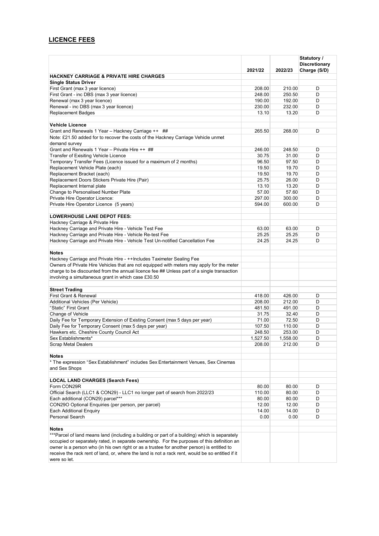# **LICENCE FEES**

|                                                                                                                                                                                              | 2021/22        | 2022/23        | Statutory /<br><b>Discretionary</b><br>Charge (S/D) |
|----------------------------------------------------------------------------------------------------------------------------------------------------------------------------------------------|----------------|----------------|-----------------------------------------------------|
| <b>HACKNEY CARRIAGE &amp; PRIVATE HIRE CHARGES</b>                                                                                                                                           |                |                |                                                     |
| <b>Single Status Driver</b>                                                                                                                                                                  |                |                |                                                     |
| First Grant (max 3 year licence)                                                                                                                                                             | 208.00         | 210.00         | D                                                   |
| First Grant - inc DBS (max 3 year licence)                                                                                                                                                   | 248.00         | 250.50         | D                                                   |
| Renewal (max 3 year licence)                                                                                                                                                                 | 190.00         | 192.00         | D                                                   |
| Renewal - inc DBS (max 3 year licence)                                                                                                                                                       | 230.00         | 232.00         | D                                                   |
| Replacement Badges                                                                                                                                                                           | 13.10          | 13.20          | D                                                   |
| <b>Vehicle Licence</b>                                                                                                                                                                       |                |                |                                                     |
| Grant and Renewals 1 Year - Hackney Carriage ++ ##                                                                                                                                           | 265.50         | 268.00         | D                                                   |
| Note: £21.50 added for to recover the costs of the Hackney Carriage Vehicle unmet                                                                                                            |                |                |                                                     |
| demand survey                                                                                                                                                                                |                |                |                                                     |
| Grant and Renewals 1 Year - Private Hire ++ ##                                                                                                                                               | 246.00         | 248.50         | D                                                   |
| Transfer of Exisiting Vehicle Licence                                                                                                                                                        | 30.75          | 31.00          | D                                                   |
| Temporary Transfer Fees (Licence issued for a maximum of 2 months)                                                                                                                           | 96.50          | 97.50          | D                                                   |
| Replacement Vehicle Plate (each)                                                                                                                                                             | 19.50          | 19.70          | D                                                   |
| Replacement Bracket (each)                                                                                                                                                                   | 19.50          | 19.70          | D                                                   |
| Replacement Doors Stickers Private Hire (Pair)                                                                                                                                               | 25.75          | 26.00          | D                                                   |
| Replacement Internal plate                                                                                                                                                                   | 13.10          | 13.20          | D                                                   |
| Change to Personalised Number Plate                                                                                                                                                          | 57.00          | 57.60          | D                                                   |
| Private Hire Operator Licence:                                                                                                                                                               | 297.00         | 300.00         | D                                                   |
| Private Hire Operator Licence (5 years)                                                                                                                                                      | 594.00         | 600.00         | D                                                   |
| <b>LOWERHOUSE LANE DEPOT FEES:</b>                                                                                                                                                           |                |                |                                                     |
| Hackney Carriage & Private Hire                                                                                                                                                              |                |                |                                                     |
| Hackney Carriage and Private Hire - Vehicle Test Fee                                                                                                                                         | 63.00          | 63.00          | D                                                   |
| Hackney Carriage and Private Hire - Vehicle Re-test Fee                                                                                                                                      | 25.25          | 25.25          | D                                                   |
| Hackney Carriage and Private Hire - Vehicle Test Un-notified Cancellation Fee                                                                                                                | 24.25          | 24.25          | D                                                   |
|                                                                                                                                                                                              |                |                |                                                     |
| <b>Notes</b>                                                                                                                                                                                 |                |                |                                                     |
| Hackney Carriage and Private Hire - ++Includes Taximeter Sealing Fee                                                                                                                         |                |                |                                                     |
| Owners of Private Hire Vehicles that are not equipped with meters may apply for the meter                                                                                                    |                |                |                                                     |
| charge to be discounted from the annual licence fee ## Unless part of a single transaction                                                                                                   |                |                |                                                     |
| involving a simultaneous grant in which case £30.50                                                                                                                                          |                |                |                                                     |
| <b>Street Trading</b>                                                                                                                                                                        |                |                |                                                     |
| First Grant & Renewal                                                                                                                                                                        | 418.00         | 426.00         | D                                                   |
| Additional Vehicles (Per Vehicle)                                                                                                                                                            | 208.00         | 212.00         | D                                                   |
| "Static" First Grant                                                                                                                                                                         | 481.50         | 491.00         | D                                                   |
| Change of Vehicle                                                                                                                                                                            | 31.75          | 32.40          | D                                                   |
| Daily Fee for Temporary Extension of Existing Consent (max 5 days per year)                                                                                                                  | 71.00          | 72.50          | D                                                   |
| Daily Fee for Temporary Consent (max 5 days per year)                                                                                                                                        | 107.50         | 110.00         | D                                                   |
| Hawkers etc. Cheshire County Council Act                                                                                                                                                     | 248.50         | 253.00         | D                                                   |
| Sex Establishments*                                                                                                                                                                          | 1,527.50       | 1,558.00       | D                                                   |
| <b>Scrap Metal Dealers</b>                                                                                                                                                                   | 208.00         | 212.00         | D                                                   |
|                                                                                                                                                                                              |                |                |                                                     |
| Notes                                                                                                                                                                                        |                |                |                                                     |
| * The expression "Sex Establishment" includes Sex Entertainment Venues, Sex Cinemas<br>and Sex Shops                                                                                         |                |                |                                                     |
|                                                                                                                                                                                              |                |                |                                                     |
| LOCAL LAND CHARGES (Search Fees)                                                                                                                                                             |                |                |                                                     |
| Form CON29R                                                                                                                                                                                  | 80.00          | 80.00          | D                                                   |
| Official Search (LLC1 & CON29) - LLC1 no longer part of search from 2022/23                                                                                                                  | 110.00         | 80.00          | D                                                   |
| Each additional (CON29) parcel***                                                                                                                                                            | 80.00          | 80.00          | D                                                   |
| CON29O Optional Enquiries (per person, per parcel)<br><b>Each Additional Enquiry</b>                                                                                                         | 12.00<br>14.00 | 12.00<br>14.00 | D<br>D                                              |
| Personal Search                                                                                                                                                                              |                |                |                                                     |
|                                                                                                                                                                                              | 0.00           | 0.00           | D                                                   |
| Notes                                                                                                                                                                                        |                |                |                                                     |
| ***Parcel of land means land (including a building or part of a building) which is separately<br>occupied or separately rated, in separate ownership. For the purposes of this definition an |                |                |                                                     |
| owner is a person who (in his own right or as a trustee for another person) is entitled to                                                                                                   |                |                |                                                     |
| receive the rack rent of land, or, where the land is not a rack rent, would be so entitled if it                                                                                             |                |                |                                                     |
| were so let.                                                                                                                                                                                 |                |                |                                                     |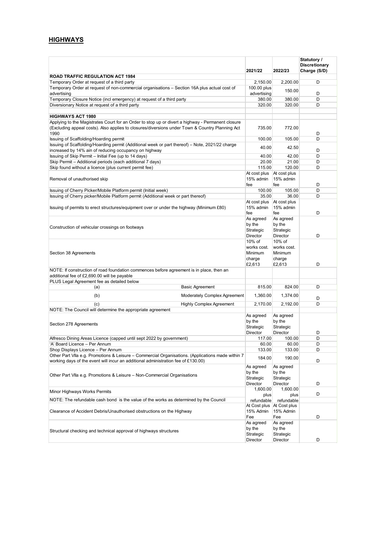# **HIGHWAYS**

|                                                                                                                                                                                        | 2021/22                                              | 2022/23                                              | Statutory /<br><b>Discretionary</b><br>Charge (S/D) |
|----------------------------------------------------------------------------------------------------------------------------------------------------------------------------------------|------------------------------------------------------|------------------------------------------------------|-----------------------------------------------------|
| <b>ROAD TRAFFIC REGULATION ACT 1984</b>                                                                                                                                                |                                                      |                                                      |                                                     |
| Temporary Order at request of a third party                                                                                                                                            | 2,150.00                                             | 2,200.00                                             | D                                                   |
| Temporary Order at request of non-commercial organisations - Section 16A plus actual cost of<br>advertising                                                                            | 100.00 plus<br>advertising                           | 150.00                                               | D                                                   |
| Temporary Closure Notice (incl emergency) at request of a third party                                                                                                                  | 380.00                                               | 380.00                                               | D                                                   |
| Diversionary Notice at request of a third party                                                                                                                                        | 320.00                                               | 320.00                                               | D                                                   |
|                                                                                                                                                                                        |                                                      |                                                      |                                                     |
| <b>HIGHWAYS ACT 1980</b><br>Applying to the Magistrates Court for an Order to stop up or divert a highway - Permanent closure                                                          |                                                      |                                                      |                                                     |
| (Excluding appeal costs). Also applies to closures/diversions under Town & Country Planning Act<br>1990                                                                                | 735.00                                               | 772.00                                               | D                                                   |
| Issuing of Scaffolding/Hoarding permit                                                                                                                                                 | 100.00                                               | 105.00                                               | D                                                   |
| Issuing of Scaffolding/Hoarding permit (Additional week or part thereof) - Note, 2021/22 charge<br>increased by 14% ain of reducing occupancy on highway                               | 40.00                                                | 42.50                                                | D                                                   |
| Issuing of Skip Permit - Initial Fee (up to 14 days)                                                                                                                                   | 40.00                                                | 42.00                                                | D                                                   |
| Skip Permit - Additional periods (each additional 7 days)                                                                                                                              | 20.00                                                | 21.00                                                | D                                                   |
| Skip found without a licence (plus current permit fee)                                                                                                                                 | 115.00                                               | 120.00                                               | D                                                   |
| Removal of unauthorised skip                                                                                                                                                           | At cost plus<br>15% admin<br>fee                     | At cost plus<br>15% admin<br>fee                     | D                                                   |
| Issuing of Cherry Picker/Mobile Platform permit (Initial week)                                                                                                                         | 100.00                                               | 105.00                                               | D                                                   |
| Issuing of Cherry picker/Mobile Platform permit (Additional week or part thereof)                                                                                                      | 35.00                                                | 36.00                                                | D                                                   |
| Issuing of permits to erect structures/equipment over or under the highway (Minimum £80)                                                                                               | At cost plus<br>15% admin<br>fee                     | At cost plus<br>15% admin<br>fee                     | D                                                   |
| Construction of vehicular crossings on footways                                                                                                                                        | As agreed<br>by the<br>Strategic<br>Director         | As agreed<br>by the<br>Strategic<br>Director         | D                                                   |
| Section 38 Agreements                                                                                                                                                                  | 10% of<br>works cost.<br>Minimum<br>charge<br>£2,613 | 10% of<br>works cost.<br>Minimum<br>charge<br>£2,613 | D                                                   |
| NOTE: If construction of road foundation commences before agreement is in place, then an<br>additional fee of £2,690.00 will be payable                                                |                                                      |                                                      |                                                     |
| PLUS Legal Agreement fee as detailed below                                                                                                                                             |                                                      |                                                      |                                                     |
| <b>Basic Agreement</b><br>(a)                                                                                                                                                          | 815.00                                               | 824.00                                               | D                                                   |
| (b)<br>Moderately Complex Agreement                                                                                                                                                    | 1,360.00                                             | 1,374.00                                             | D                                                   |
| <b>Highly Complex Agreement</b><br>(c)                                                                                                                                                 | 2.170.00                                             | 2,192.00                                             | D                                                   |
| NOTE: The Council will determine the appropriate agreement                                                                                                                             |                                                      |                                                      |                                                     |
| Section 278 Agreements                                                                                                                                                                 | As agreed<br>by the<br>Strategic<br>Director         | As agreed<br>by the<br>Strategic<br>Director         | D                                                   |
| Alfresco Dining Areas Licence (capped until sept 2022 by government)                                                                                                                   | 117.00                                               | 100.00                                               | D                                                   |
| 'A' Board Licence – Per Annum                                                                                                                                                          | 60.00                                                | 60.00                                                | D                                                   |
| Shop Displays Licence - Per Annum                                                                                                                                                      | 133.00                                               | 133.00                                               | D                                                   |
| Other Part VIIa e.g. Promotions & Leisure - Commercial Organisations. (Applications made within 7<br>working days of the event will incur an additional administration fee of £130.00) | 184.00                                               | 190.00                                               | D                                                   |
| Other Part VIIa e.g. Promotions & Leisure - Non-Commercial Organisations                                                                                                               | As agreed<br>by the<br>Strategic<br>Director         | As agreed<br>by the<br>Strategic<br>Director         | D                                                   |
| Minor Highways Works Permits                                                                                                                                                           | 1,600.00<br>plus                                     | 1,600.00<br>plus                                     | D                                                   |
| NOTE: The refundable cash bond is the value of the works as determined by the Council                                                                                                  | refundable                                           | refundable                                           |                                                     |
| Clearance of Accident Debris/Unauthorised obstructions on the Highway                                                                                                                  | At Cost plus   At Cost plus<br>15% Admin             | 15% Admin                                            |                                                     |
| Structural checking and technical approval of highways structures                                                                                                                      | Fee<br>As agreed<br>by the<br>Strategic              | Fee<br>As agreed<br>by the<br>Strategic              | D                                                   |
|                                                                                                                                                                                        | Director                                             | Director                                             | D                                                   |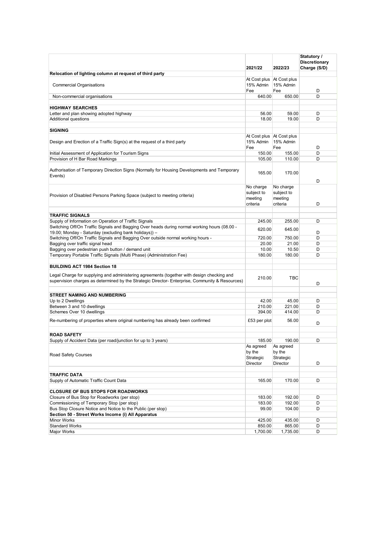|                                                                                                                                                                                               | 2021/22                                         | 2022/23                                        | Statutory /<br><b>Discretionary</b><br>Charge (S/D) |
|-----------------------------------------------------------------------------------------------------------------------------------------------------------------------------------------------|-------------------------------------------------|------------------------------------------------|-----------------------------------------------------|
| Relocation of lighting column at request of third party                                                                                                                                       |                                                 |                                                |                                                     |
| <b>Commercial Organisations</b>                                                                                                                                                               | At Cost plus   At Cost plus<br>15% Admin<br>Fee | 15% Admin<br>Fee                               | D                                                   |
| Non-commercial organisations                                                                                                                                                                  | 640.00                                          | 650.00                                         | D                                                   |
| <b>HIGHWAY SEARCHES</b>                                                                                                                                                                       |                                                 |                                                |                                                     |
| Letter and plan showing adopted highway                                                                                                                                                       | 56.00                                           | 59.00                                          | D                                                   |
| Additional questions                                                                                                                                                                          | 18.00                                           | 19.00                                          | D                                                   |
|                                                                                                                                                                                               |                                                 |                                                |                                                     |
| <b>SIGNING</b>                                                                                                                                                                                |                                                 |                                                |                                                     |
| Design and Erection of a Traffic Sign(s) at the request of a third party                                                                                                                      | At Cost plus   At Cost plus<br>15% Admin<br>Fee | 15% Admin<br>Fee                               | D                                                   |
| Initial Assessment of Application for Tourism Signs                                                                                                                                           | 150.00                                          | 155.00                                         | D                                                   |
| Provision of H Bar Road Markings                                                                                                                                                              | 105.00                                          | 110.00                                         | D                                                   |
| Authorisation of Temporary Direction Signs (Normally for Housing Developments and Temporary<br>Events)                                                                                        | 165.00                                          | 170.00                                         | D                                                   |
| Provision of Disabled Persons Parking Space (subject to meeting criteria)                                                                                                                     | No charge<br>subject to<br>meeting<br>criteria  | No charge<br>subject to<br>meeting<br>criteria | D                                                   |
|                                                                                                                                                                                               |                                                 |                                                |                                                     |
| <b>TRAFFIC SIGNALS</b>                                                                                                                                                                        |                                                 |                                                |                                                     |
| Supply of Information on Operation of Traffic Signals                                                                                                                                         | 245.00                                          | 255.00                                         | D                                                   |
| Switching Off/On Traffic Signals and Bagging Over heads during normal working hours (08.00 -<br>19.00; Monday - Saturday (excluding bank holidays)) -                                         | 620.00                                          | 645.00                                         | D                                                   |
| Switching Off/On Traffic Signals and Bagging Over outside normal working hours -                                                                                                              | 720.00                                          | 750.00                                         | D                                                   |
| Bagging over traffic signal head                                                                                                                                                              | 20.00                                           | 21.00                                          | D                                                   |
| Bagging over pedestrian push button / demand unit<br>Temporary Portable Traffic Signals (Multi Phase) (Administration Fee)                                                                    | 10.00<br>180.00                                 | 10.50<br>180.00                                | D<br>D                                              |
|                                                                                                                                                                                               |                                                 |                                                |                                                     |
| <b>BUILDING ACT 1984 Section 18</b>                                                                                                                                                           |                                                 |                                                |                                                     |
| Legal Charge for supplying and administering agreements (together with design checking and<br>supervision charges as determined by the Strategic Director- Enterprise, Community & Resources) | 210.00                                          | <b>TBC</b>                                     | D                                                   |
|                                                                                                                                                                                               |                                                 |                                                |                                                     |
| <b>STREET NAMING AND NUMBERING</b>                                                                                                                                                            |                                                 |                                                |                                                     |
| Up to 2 Dwellings                                                                                                                                                                             | 42.00                                           | 45.00                                          | D                                                   |
| Between 3 and 10 dwellings<br>Schemes Over 10 dwellings                                                                                                                                       | 210.00                                          | 221.00                                         | D<br>D                                              |
| Re-numbering of properties where original numbering has already been confirmed                                                                                                                | 394.00<br>£53 per plot                          | 414.00<br>56.00                                |                                                     |
|                                                                                                                                                                                               |                                                 |                                                | D                                                   |
| <b>ROAD SAFETY</b>                                                                                                                                                                            |                                                 |                                                |                                                     |
| Supply of Accident Data (per road/junction for up to 3 years)                                                                                                                                 | 185.00                                          | 190.00                                         | D                                                   |
| Road Safety Courses                                                                                                                                                                           | As agreed<br>by the<br>Strategic<br>Director    | As agreed<br>by the<br>Strategic<br>Director   | D                                                   |
|                                                                                                                                                                                               |                                                 |                                                |                                                     |
| <b>TRAFFIC DATA</b>                                                                                                                                                                           |                                                 | 170.00                                         |                                                     |
| Supply of Automatic Traffic Count Data                                                                                                                                                        | 165.00                                          |                                                | D                                                   |
| <b>CLOSURE OF BUS STOPS FOR ROADWORKS</b>                                                                                                                                                     |                                                 |                                                |                                                     |
| Closure of Bus Stop for Roadworks (per stop)                                                                                                                                                  | 183.00                                          | 192.00                                         | D                                                   |
| Commissioning of Temporary Stop (per stop)                                                                                                                                                    | 183.00                                          | 192.00                                         | D                                                   |
| Bus Stop Closure Notice and Notice to the Public (per stop)                                                                                                                                   | 99.00                                           | 104.00                                         | D                                                   |
| Section 50 - Street Works Income (i) All Apparatus                                                                                                                                            |                                                 |                                                |                                                     |
| Minor Works                                                                                                                                                                                   | 425.00                                          | 435.00                                         | D                                                   |
| <b>Standard Works</b>                                                                                                                                                                         | 850.00                                          | 865.00                                         | D                                                   |
| Major Works                                                                                                                                                                                   | 1,700.00                                        | 1,735.00                                       | D                                                   |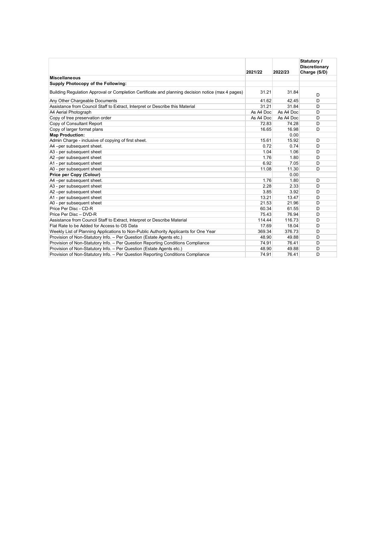|                                                                                                   |           |           | Statutory /          |  |
|---------------------------------------------------------------------------------------------------|-----------|-----------|----------------------|--|
|                                                                                                   |           |           | <b>Discretionary</b> |  |
|                                                                                                   | 2021/22   | 2022/23   | Charge (S/D)         |  |
| <b>Miscellaneous</b>                                                                              |           |           |                      |  |
| Supply Photocopy of the Following:                                                                |           |           |                      |  |
| Building Regulation Approval or Completion Certificate and planning decision notice (max 4 pages) | 31.21     | 31.84     | D                    |  |
| Any Other Chargeable Documents                                                                    | 41.62     | 42.45     | D                    |  |
| Assistance from Council Staff to Extract, Interpret or Describe this Material                     | 31.21     | 31.84     | D                    |  |
| A4 Aerial Photograph                                                                              | As A4 Doc | As A4 Doc | D                    |  |
| Copy of tree preservation order                                                                   | As A4 Doc | As A4 Doc | D                    |  |
| Copy of Consultant Report                                                                         | 72.83     | 74.28     | D                    |  |
| Copy of larger format plans                                                                       | 16.65     | 16.98     | D                    |  |
| <b>Map Production:</b>                                                                            |           | 0.00      |                      |  |
| Admin Charge - inclusive of copying of first sheet.                                               | 15.61     | 15.92     | D                    |  |
| A4-per subsequent sheet.                                                                          | 0.72      | 0.74      | D                    |  |
| A3 - per subsequent sheet                                                                         | 1.04      | 1.06      | D                    |  |
| A2-per subsequent sheet                                                                           | 1.76      | 1.80      | D                    |  |
| A1 - per subsequent sheet                                                                         | 6.92      | 7.05      | D                    |  |
| A0 - per subsequent sheet                                                                         | 11.08     | 11.30     | D                    |  |
| Price per Copy (Colour)                                                                           |           | 0.00      |                      |  |
| A4-per subsequent sheet.                                                                          | 1.76      | 1.80      | D                    |  |
| A3 - per subsequent sheet                                                                         | 2.28      | 2.33      | D                    |  |
| A2-per subsequent sheet                                                                           | 3.85      | 3.92      | D                    |  |
| A1 - per subsequent sheet                                                                         | 13.21     | 13.47     | D                    |  |
| A0 - per subsequent sheet                                                                         | 21.53     | 21.96     | D                    |  |
| Price Per Disc - CD-R                                                                             | 60.34     | 61.55     | D                    |  |
| Price Per Disc - DVD-R                                                                            | 75.43     | 76.94     | D                    |  |
| Assistance from Council Staff to Extract, Interpret or Describe Material                          | 114.44    | 116.73    | D                    |  |
| Flat Rate to be Added for Access to OS Data                                                       | 17.69     | 18.04     | D                    |  |
| Weekly List of Planning Applications to Non-Public Authority Applicants for One Year              | 369.34    | 376.73    | D                    |  |
| Provision of Non-Statutory Info. - Per Question (Estate Agents etc.)                              | 48.90     | 49.88     | D                    |  |
| Provision of Non-Statutory Info. - Per Question Reporting Conditions Compliance                   | 74.91     | 76.41     | D                    |  |
| Provision of Non-Statutory Info. - Per Question (Estate Agents etc.)                              | 48.90     | 49.88     | D                    |  |
| Provision of Non-Statutory Info. - Per Question Reporting Conditions Compliance                   | 74.91     | 76.41     | D                    |  |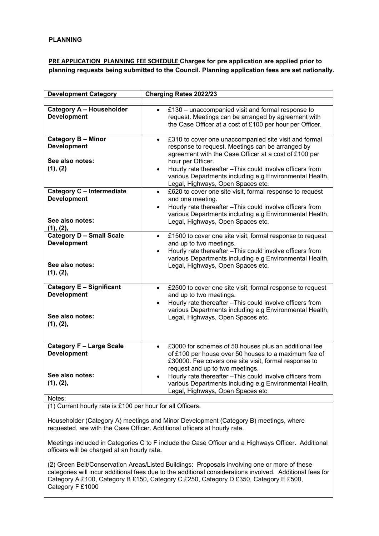#### **PRE APPLICATION PLANNING FEE SCHEDULE Charges for pre application are applied prior to planning requests being submitted to the Council. Planning application fees are set nationally.**

| <b>Development Category</b>                                                           | Charging Rates 2022/23                                                                                                                                                                                                                                                                                                                                                             |
|---------------------------------------------------------------------------------------|------------------------------------------------------------------------------------------------------------------------------------------------------------------------------------------------------------------------------------------------------------------------------------------------------------------------------------------------------------------------------------|
|                                                                                       |                                                                                                                                                                                                                                                                                                                                                                                    |
| <b>Category A - Householder</b><br><b>Development</b>                                 | £130 – unaccompanied visit and formal response to<br>$\bullet$<br>request. Meetings can be arranged by agreement with<br>the Case Officer at a cost of £100 per hour per Officer.                                                                                                                                                                                                  |
| <b>Category B - Minor</b><br><b>Development</b><br>See also notes:<br>(1), (2)        | £310 to cover one unaccompanied site visit and formal<br>$\bullet$<br>response to request. Meetings can be arranged by<br>agreement with the Case Officer at a cost of £100 per<br>hour per Officer.<br>Hourly rate thereafter - This could involve officers from<br>$\bullet$<br>various Departments including e.g Environmental Health,<br>Legal, Highways, Open Spaces etc.     |
| Category C - Intermediate<br><b>Development</b><br>See also notes:<br>(1), (2),       | £620 to cover one site visit, formal response to request<br>$\bullet$<br>and one meeting.<br>Hourly rate thereafter - This could involve officers from<br>$\bullet$<br>various Departments including e.g Environmental Health,<br>Legal, Highways, Open Spaces etc.                                                                                                                |
| <b>Category D - Small Scale</b><br><b>Development</b><br>See also notes:<br>(1), (2), | £1500 to cover one site visit, formal response to request<br>$\bullet$<br>and up to two meetings.<br>Hourly rate thereafter - This could involve officers from<br>$\bullet$<br>various Departments including e.g Environmental Health,<br>Legal, Highways, Open Spaces etc.                                                                                                        |
| Category E - Significant<br><b>Development</b><br>See also notes:<br>(1), (2),        | £2500 to cover one site visit, formal response to request<br>$\bullet$<br>and up to two meetings.<br>Hourly rate thereafter - This could involve officers from<br>various Departments including e.g Environmental Health,<br>Legal, Highways, Open Spaces etc.                                                                                                                     |
| <b>Category F - Large Scale</b><br><b>Development</b><br>See also notes:<br>(1), (2), | £3000 for schemes of 50 houses plus an additional fee<br>$\bullet$<br>of £100 per house over 50 houses to a maximum fee of<br>£30000. Fee covers one site visit, formal response to<br>request and up to two meetings.<br>Hourly rate thereafter - This could involve officers from<br>various Departments including e.g Environmental Health,<br>Legal, Highways, Open Spaces etc |

Notes:

(1) Current hourly rate is £100 per hour for all Officers.

Householder (Category A) meetings and Minor Development (Category B) meetings, where requested, are with the Case Officer. Additional officers at hourly rate.

Meetings included in Categories C to F include the Case Officer and a Highways Officer. Additional officers will be charged at an hourly rate.

(2) Green Belt/Conservation Areas/Listed Buildings: Proposals involving one or more of these categories will incur additional fees due to the additional considerations involved. Additional fees for Category A £100, Category B £150, Category C £250, Category D £350, Category E £500, Category F £1000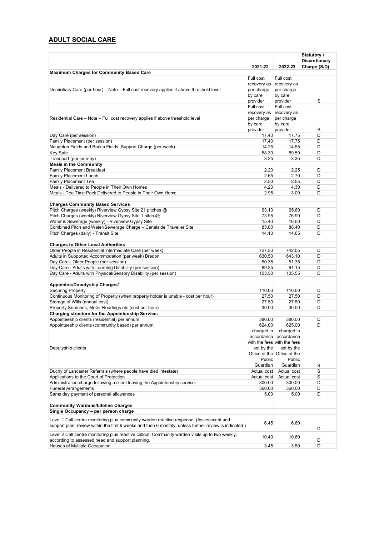# **ADULT SOCIAL CARE**

|                                                                                                                   | 2021-22        | 2022-23                     | Statutory /<br><b>Discretionary</b><br>Charge (S/D) |
|-------------------------------------------------------------------------------------------------------------------|----------------|-----------------------------|-----------------------------------------------------|
| <b>Maximum Charges for Community Based Care</b>                                                                   |                |                             |                                                     |
|                                                                                                                   | Full cost      | Full cost                   |                                                     |
|                                                                                                                   | recovery as    | recovery as                 |                                                     |
| Domiciliary Care (per hour) – Note – Full cost recovery applies if above threshold level                          | per charge     | per charge                  |                                                     |
|                                                                                                                   | by care        | by care                     |                                                     |
|                                                                                                                   | provider       | provider                    | S                                                   |
|                                                                                                                   | Full cost      | Full cost                   |                                                     |
|                                                                                                                   | recovery as    | recovery as                 |                                                     |
| Residential Care – Note – Full cost recovery applies if above threshold level                                     | per charge     | per charge                  |                                                     |
|                                                                                                                   | by care        | by care                     |                                                     |
|                                                                                                                   | provider       | provider                    | S                                                   |
| Day Care (per session)                                                                                            | 17.40          | 17.75                       | D                                                   |
| Family Placement (per session)                                                                                    | 17.40          | 17.75                       | D                                                   |
| Naughton Fields and Barkla Fields Support Charge (per week)                                                       | 14.25          | 14.55                       | D                                                   |
| <b>Key Safe</b>                                                                                                   | 58.30          | 59.50                       | D                                                   |
| Transport (per journey)                                                                                           | 3.25           | 3.35                        | D                                                   |
| <b>Meals in the Community</b>                                                                                     |                |                             |                                                     |
| <b>Family Placement Breakfast</b>                                                                                 | 2.20           | 2.25                        | D                                                   |
| Family Placement Lunch                                                                                            | 2.65           | 2.70                        | D                                                   |
| Family Placement Tea                                                                                              | 2.50           | 2.55                        | D                                                   |
| Meals - Delivered to People in Their Own Homes                                                                    | 4.20           | 4.30                        | D                                                   |
| Meals - Tea Time Pack Delivered to People in Their Own Home                                                       | 2.95           | 3.00                        | D                                                   |
| <b>Charges Community Based Services</b>                                                                           |                |                             |                                                     |
|                                                                                                                   |                |                             | D                                                   |
| Pitch Charges (weekly) Riverview Gypsy Site 21 pitches @<br>Pitch Charges (weekly) Riverview Gypsy Site 1 pitch @ | 63.10<br>73.95 | 65.60                       |                                                     |
| Water & Sewerage (weekly) - Riverview Gypsy Site                                                                  | 15.40          | 76.90<br>16.00              | D<br>D                                              |
| Combined Pitch and Water/Sewerage Charge - Canalside Traveller Site                                               | 85.00          | 88.40                       | D                                                   |
| Pitch Charges (daily) - Transit Site                                                                              | 14.10          | 14.65                       | D                                                   |
|                                                                                                                   |                |                             |                                                     |
| <b>Charges to Other Local Authorities</b>                                                                         |                |                             |                                                     |
| Older People in Residential Intermediate Care (per week)                                                          | 727.50         | 742.05                      | D                                                   |
| Adults in Supported Accommodation (per week) Bredon                                                               | 630.50         | 643.10                      | D                                                   |
| Day Care - Older People (per session)                                                                             | 50.35          | 51.35                       | D                                                   |
| Day Care - Adults with Learning Disability (per session)                                                          | 89.35          | 91.15                       | D                                                   |
| Day Care - Adults with Physical/Sensory Disability (per session)                                                  | 103.50         | 105.55                      | D                                                   |
|                                                                                                                   |                |                             |                                                     |
| Appointee/Deputyship Charges*                                                                                     |                |                             |                                                     |
| <b>Securing Property</b>                                                                                          | 110.00         | 110.00                      | D                                                   |
| Continuous Monitoring of Property (when property holder is unable - cost per hour)                                | 27.50          | 27.50                       | D                                                   |
| Storage of Wills (annual cost)                                                                                    | 27.50          | 27.50                       | D                                                   |
| Property Searches, Meter Readings etc (cost per hour)                                                             | 30.00          | 30.00                       | D                                                   |
| Charging structure for the Appointeeship Service:                                                                 |                |                             |                                                     |
| Appointeeship clients (residential) per annum                                                                     | 380.00         | 380.00                      | D                                                   |
| Appointeeship clients (community based) per annum.                                                                | 624.00         | 625.00                      | D                                                   |
|                                                                                                                   | charged in     | charged in                  |                                                     |
|                                                                                                                   | accordance     | accordance                  |                                                     |
|                                                                                                                   |                | with the fees with the fees |                                                     |
| Deputyship clients                                                                                                | set by the     | set by the                  |                                                     |
|                                                                                                                   |                | Office of the Office of the |                                                     |
|                                                                                                                   | Public         | Public                      |                                                     |
|                                                                                                                   | Guardian       | Guardian                    | S                                                   |
| Duchy of Lancaster Referrals (where people have died intestate)                                                   | Actual cost    | Actual cost                 | S                                                   |
| Applications to the Court of Protection                                                                           | Actual cost    | Actual cost                 | S                                                   |
| Administration charge following a client leaving the Appointeeship service.                                       | 300.00         | 300.00                      | D                                                   |
| <b>Funeral Arrangements</b>                                                                                       | 360.00         | 360.00                      | D                                                   |
| Same day payment of personal allowances                                                                           | 5.00           | 5.00                        | D                                                   |
|                                                                                                                   |                |                             |                                                     |
| <b>Community Wardens/Lifeline Charges</b>                                                                         |                |                             |                                                     |
| Single Occupancy - per person charge                                                                              |                |                             |                                                     |
| Level 1 Call centre monitoring plus community warden reactive response. (Assessment and                           |                | 6.60                        |                                                     |
| support plan, review within the first 6 weeks and then 6 monthly, unless further review is indicated.)            | 6.45           |                             | D                                                   |
| Level 2 Call centre monitoring plus reactive callout. Community warden visits up to two weekly,                   |                |                             |                                                     |
| according to assessed need and support planning.                                                                  | 10.40          | 10.60                       | D                                                   |
| Houses of Multiple Occupation                                                                                     | 3.45           | 3.50                        | D                                                   |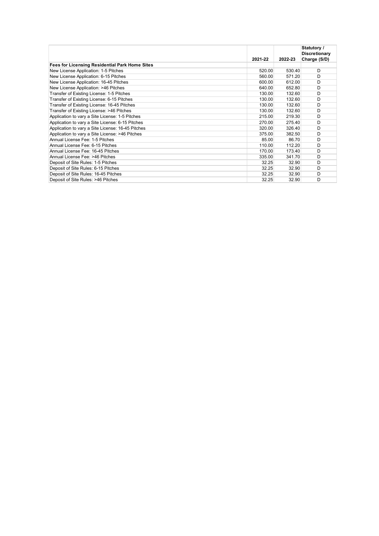|                                                       | 2021-22 | 2022-23 | Statutory /<br><b>Discretionary</b><br>Charge (S/D) |
|-------------------------------------------------------|---------|---------|-----------------------------------------------------|
| <b>Fees for Licensing Residential Park Home Sites</b> |         |         |                                                     |
| New License Application: 1-5 Pitches                  | 520.00  | 530.40  | D                                                   |
| New License Application: 6-15 Pitches                 | 560.00  | 571.20  | D                                                   |
| New License Application: 16-45 Pitches                | 600.00  | 612.00  | D                                                   |
| New License Application: >46 Pitches                  | 640.00  | 652.80  | D                                                   |
| Transfer of Existing License: 1-5 Pitches             | 130.00  | 132.60  | D                                                   |
| Transfer of Existing License: 6-15 Pitches            | 130.00  | 132.60  | D                                                   |
| Transfer of Existing License: 16-45 Pitches           | 130.00  | 132.60  | D                                                   |
| Transfer of Existing License: >46 Pitches             | 130.00  | 132.60  | D                                                   |
| Application to vary a Site License: 1-5 Pitches       | 215.00  | 219.30  | D                                                   |
| Application to vary a Site License: 6-15 Pitches      | 270.00  | 275.40  | D                                                   |
| Application to vary a Site License: 16-45 Pitches     | 320.00  | 326.40  | D                                                   |
| Application to vary a Site License: >46 Pitches       | 375.00  | 382.50  | D                                                   |
| Annual License Fee: 1-5 Pitches                       | 85.00   | 86.70   | D                                                   |
| Annual License Fee: 6-15 Pitches                      | 110.00  | 112.20  | D                                                   |
| Annual License Fee: 16-45 Pitches                     | 170.00  | 173.40  | D                                                   |
| Annual License Fee: >46 Pitches                       | 335.00  | 341.70  | D                                                   |
| Deposit of Site Rules: 1-5 Pitches                    | 32.25   | 32.90   | D                                                   |
| Deposit of Site Rules: 6-15 Pitches                   | 32.25   | 32.90   | D                                                   |
| Deposit of Site Rules: 16-45 Pitches                  | 32.25   | 32.90   | D                                                   |
| Deposit of Site Rules: >46 Pitches                    | 32.25   | 32.90   | D                                                   |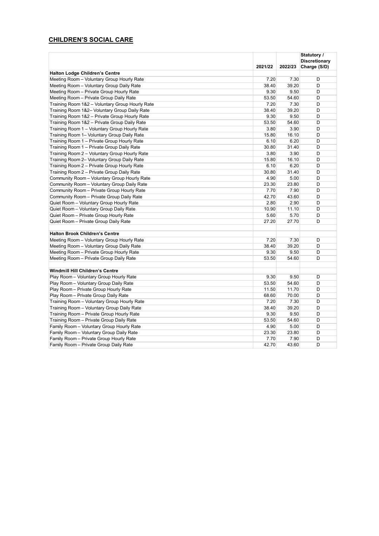# **CHILDREN'S SOCIAL CARE**

|                                                 |         |         | Statutory /<br><b>Discretionary</b> |
|-------------------------------------------------|---------|---------|-------------------------------------|
|                                                 | 2021/22 | 2022/23 | Charge (S/D)                        |
| <b>Halton Lodge Children's Centre</b>           |         |         |                                     |
| Meeting Room - Voluntary Group Hourly Rate      | 7.20    | 7.30    | D                                   |
| Meeting Room - Voluntary Group Daily Rate       | 38.40   | 39.20   | D                                   |
| Meeting Room - Private Group Hourly Rate        | 9.30    | 9.50    | D                                   |
| Meeting Room - Private Group Daily Rate         | 53.50   | 54.60   | D                                   |
| Training Room 1&2 - Voluntary Group Hourly Rate | 7.20    | 7.30    | D                                   |
| Training Room 1&2- Voluntary Group Daily Rate   | 38.40   | 39.20   | D                                   |
| Training Room 1&2 - Private Group Hourly Rate   | 9.30    | 9.50    | D                                   |
| Training Room 1&2 - Private Group Daily Rate    | 53.50   | 54.60   | D                                   |
| Training Room 1 - Voluntary Group Hourly Rate   | 3.80    | 3.90    | D                                   |
| Training Room 1– Voluntary Group Daily Rate     | 15.80   | 16.10   | D                                   |
| Training Room 1 - Private Group Hourly Rate     | 6.10    | 6.20    | D                                   |
| Training Room 1 - Private Group Daily Rate      | 30.80   | 31.40   | D                                   |
| Training Room 2 - Voluntary Group Hourly Rate   | 3.80    | 3.90    | D                                   |
| Training Room 2- Voluntary Group Daily Rate     | 15.80   | 16.10   | D                                   |
| Training Room 2 - Private Group Hourly Rate     | 6.10    | 6.20    | D                                   |
| Training Room 2 - Private Group Daily Rate      | 30.80   | 31.40   | D                                   |
| Community Room - Voluntary Group Hourly Rate    | 4.90    | 5.00    | D                                   |
| Community Room - Voluntary Group Daily Rate     | 23.30   | 23.80   | D                                   |
| Community Room - Private Group Hourly Rate      | 7.70    | 7.90    | D                                   |
| Community Room - Private Group Daily Rate       | 42.70   | 43.60   | D                                   |
| Quiet Room - Voluntary Group Hourly Rate        | 2.80    | 2.90    | D                                   |
| Quiet Room - Voluntary Group Daily Rate         | 10.90   | 11.10   | D                                   |
| Quiet Room - Private Group Hourly Rate          | 5.60    | 5.70    | D                                   |
| Quiet Room - Private Group Daily Rate           | 27.20   | 27.70   | D                                   |
|                                                 |         |         |                                     |
| <b>Halton Brook Children's Centre</b>           |         |         |                                     |
| Meeting Room - Voluntary Group Hourly Rate      | 7.20    | 7.30    | D                                   |
| Meeting Room - Voluntary Group Daily Rate       | 38.40   | 39.20   | D                                   |
| Meeting Room - Private Group Hourly Rate        | 9.30    | 9.50    | D                                   |
| Meeting Room - Private Group Daily Rate         | 53.50   | 54.60   | D                                   |
|                                                 |         |         |                                     |
| Windmill Hill Children's Centre                 |         |         |                                     |
| Play Room - Voluntary Group Hourly Rate         | 9.30    | 9.50    | D                                   |
| Play Room - Voluntary Group Daily Rate          | 53.50   | 54.60   | D                                   |
| Play Room - Private Group Hourly Rate           | 11.50   | 11.70   | D                                   |
| Play Room - Private Group Daily Rate            | 68.60   | 70.00   | D                                   |
| Training Room - Voluntary Group Hourly Rate     | 7.20    | 7.30    | D                                   |
| Training Room - Voluntary Group Daily Rate      | 38.40   | 39.20   | D                                   |
| Training Room - Private Group Hourly Rate       | 9.30    | 9.50    | D                                   |
| Training Room - Private Group Daily Rate        | 53.50   | 54.60   | D                                   |
| Family Room - Voluntary Group Hourly Rate       | 4.90    | 5.00    | D                                   |
| Family Room - Voluntary Group Daily Rate        | 23.30   | 23.80   | D                                   |
| Family Room - Private Group Hourly Rate         | 7.70    | 7.90    | D                                   |
| Family Room - Private Group Daily Rate          | 42.70   | 43.60   | D                                   |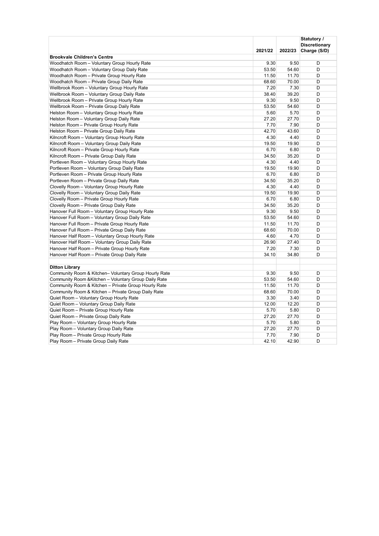|                                                       |         |         | Statutory /          |
|-------------------------------------------------------|---------|---------|----------------------|
|                                                       |         |         | <b>Discretionary</b> |
|                                                       | 2021/22 | 2022/23 | Charge (S/D)         |
| <b>Brookvale Children's Centre</b>                    |         |         |                      |
| Woodhatch Room - Voluntary Group Hourly Rate          | 9.30    | 9.50    | D                    |
| Woodhatch Room - Voluntary Group Daily Rate           | 53.50   | 54.60   | D                    |
| Woodhatch Room - Private Group Hourly Rate            | 11.50   | 11.70   | D                    |
| Woodhatch Room - Private Group Daily Rate             | 68.60   | 70.00   | D                    |
| Wellbrook Room - Voluntary Group Hourly Rate          | 7.20    | 7.30    | D                    |
| Wellbrook Room - Voluntary Group Daily Rate           | 38.40   | 39.20   | D                    |
| Wellbrook Room - Private Group Hourly Rate            | 9.30    | 9.50    | D                    |
| Wellbrook Room - Private Group Daily Rate             | 53.50   | 54.60   | D                    |
| Helston Room - Voluntary Group Hourly Rate            | 5.60    | 5.70    | D                    |
| Helston Room - Voluntary Group Daily Rate             | 27.20   | 27.70   | D                    |
| Helston Room - Private Group Hourly Rate              | 7.70    | 7.90    | D                    |
| Helston Room - Private Group Daily Rate               | 42.70   | 43.60   | D                    |
| Kilncroft Room - Voluntary Group Hourly Rate          | 4.30    | 4.40    | D                    |
| Kilncroft Room - Voluntary Group Daily Rate           | 19.50   | 19.90   | D                    |
| Kilncroft Room - Private Group Hourly Rate            | 6.70    | 6.80    | D                    |
| Kilncroft Room - Private Group Daily Rate             | 34.50   | 35.20   | D                    |
| Portleven Room - Voluntary Group Hourly Rate          | 4.30    | 4.40    | D                    |
| Portleven Room - Voluntary Group Daily Rate           | 19.50   | 19.90   | D                    |
| Portleven Room - Private Group Hourly Rate            | 6.70    | 6.80    | D                    |
| Portleven Room - Private Group Daily Rate             | 34.50   | 35.20   | D                    |
| Clovelly Room - Voluntary Group Hourly Rate           | 4.30    | 4.40    | D                    |
| Clovelly Room - Voluntary Group Daily Rate            | 19.50   | 19.90   | D                    |
| Clovelly Room - Private Group Hourly Rate             | 6.70    | 6.80    | D                    |
| Clovelly Room - Private Group Daily Rate              | 34.50   | 35.20   | D                    |
| Hanover Full Room - Voluntary Group Hourly Rate       | 9.30    | 9.50    | D                    |
| Hanover Full Room - Voluntary Group Daily Rate        | 53.50   | 54.60   | D                    |
| Hanover Full Room - Private Group Hourly Rate         | 11.50   | 11.70   | D                    |
| Hanover Full Room - Private Group Daily Rate          | 68.60   | 70.00   | D                    |
| Hanover Half Room - Voluntary Group Hourly Rate       | 4.60    | 4.70    | D                    |
| Hanover Half Room - Voluntary Group Daily Rate        | 26.90   | 27.40   | D                    |
| Hanover Half Room - Private Group Hourly Rate         | 7.20    | 7.30    | D                    |
| Hanover Half Room - Private Group Daily Rate          | 34.10   | 34.80   | D                    |
|                                                       |         |         |                      |
| <b>Ditton Library</b>                                 |         |         |                      |
| Community Room & Kitchen- Voluntary Group Hourly Rate | 9.30    | 9.50    | D                    |
| Community Room & Kitchen - Voluntary Group Daily Rate | 53.50   | 54.60   | D                    |
| Community Room & Kitchen - Private Group Hourly Rate  | 11.50   | 11.70   | D                    |
| Community Room & Kitchen - Private Group Daily Rate   | 68.60   | 70.00   | D                    |
| Quiet Room - Voluntary Group Hourly Rate              | 3.30    | 3.40    | D                    |
| Quiet Room - Voluntary Group Daily Rate               | 12.00   | 12.20   | D                    |
| Quiet Room - Private Group Hourly Rate                | 5.70    | 5.80    | D                    |
| Quiet Room - Private Group Daily Rate                 | 27.20   | 27.70   | D                    |
| Play Room - Voluntary Group Hourly Rate               | 5.70    | 5.80    | D                    |
| Play Room - Voluntary Group Daily Rate                | 27.20   | 27.70   | D                    |
| Play Room - Private Group Hourly Rate                 | 7.70    | 7.90    | D                    |
| Play Room - Private Group Daily Rate                  | 42.10   | 42.90   | D                    |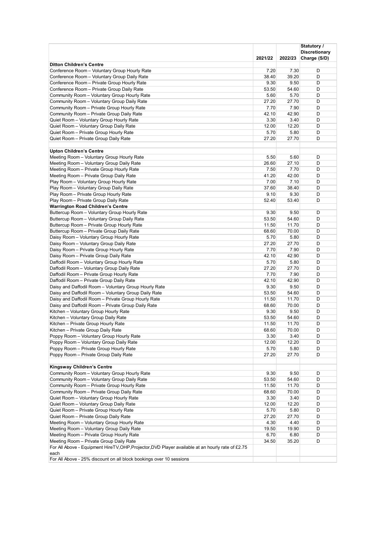|                                                                                                   |               |               | Statutory /                          |
|---------------------------------------------------------------------------------------------------|---------------|---------------|--------------------------------------|
|                                                                                                   | 2021/22       | 2022/23       | <b>Discretionary</b><br>Charge (S/D) |
| <b>Ditton Children's Centre</b>                                                                   |               |               |                                      |
| Conference Room - Voluntary Group Hourly Rate                                                     | 7.20          | 7.30          | D                                    |
| Conference Room - Voluntary Group Daily Rate                                                      | 38.40         | 39.20         | D                                    |
| Conference Room - Private Group Hourly Rate                                                       | 9.30          | 9.50          | D                                    |
| Conference Room - Private Group Daily Rate                                                        | 53.50         | 54.60         | D                                    |
| Community Room - Voluntary Group Hourly Rate                                                      | 5.60          | 5.70          | D                                    |
| Community Room - Voluntary Group Daily Rate                                                       | 27.20         | 27.70         | D                                    |
| Community Room - Private Group Hourly Rate                                                        | 7.70          | 7.90          | D                                    |
| Community Room - Private Group Daily Rate                                                         | 42.10         | 42.90         | D                                    |
| Quiet Room - Voluntary Group Hourly Rate                                                          | 3.30          | 3.40          | D                                    |
| Quiet Room - Voluntary Group Daily Rate                                                           | 12.00         | 12.20         | D                                    |
| Quiet Room - Private Group Hourly Rate                                                            | 5.70          | 5.80          | D                                    |
| Quiet Room - Private Group Daily Rate                                                             | 27.20         | 27.70         | D                                    |
| <b>Upton Children's Centre</b>                                                                    |               |               |                                      |
| Meeting Room - Voluntary Group Hourly Rate                                                        | 5.50          | 5.60          | D                                    |
| Meeting Room - Voluntary Group Daily Rate                                                         | 26.60         | 27.10         | D                                    |
| Meeting Room - Private Group Hourly Rate                                                          | 7.50          | 7.70          | D                                    |
| Meeting Room - Private Group Daily Rate                                                           | 41.20         | 42.00         | D                                    |
| Play Room - Voluntary Group Hourly Rate                                                           | 7.00          | 7.10          | D                                    |
| Play Room - Voluntary Group Daily Rate                                                            | 37.60         | 38.40         | D                                    |
| Play Room - Private Group Hourly Rate                                                             | 9.10          | 9.30          | D                                    |
| Play Room - Private Group Daily Rate                                                              | 52.40         | 53.40         | D                                    |
| <b>Warrington Road Children's Centre</b>                                                          |               |               |                                      |
| Buttercup Room - Voluntary Group Hourly Rate                                                      | 9.30          | 9.50          | D                                    |
| Buttercup Room - Voluntary Group Daily Rate                                                       | 53.50         | 54.60         | D                                    |
| Buttercup Room - Private Group Hourly Rate                                                        | 11.50         | 11.70         | D                                    |
| Buttercup Room - Private Group Daily Rate                                                         | 68.60         | 70.00         | D                                    |
| Daisy Room - Voluntary Group Hourly Rate                                                          | 5.70          | 5.80          | D                                    |
| Daisy Room - Voluntary Group Daily Rate                                                           | 27.20         | 27.70         | D                                    |
| Daisy Room - Private Group Hourly Rate                                                            | 7.70          | 7.90          | D                                    |
| Daisy Room - Private Group Daily Rate                                                             | 42.10         | 42.90         | D                                    |
| Daffodil Room - Voluntary Group Hourly Rate                                                       | 5.70          | 5.80          | D                                    |
| Daffodil Room - Voluntary Group Daily Rate                                                        | 27.20         | 27.70         | D                                    |
| Daffodil Room - Private Group Hourly Rate                                                         | 7.70<br>42.10 | 7.90<br>42.90 | D<br>D                               |
| Daffodil Room - Private Group Daily Rate<br>Daisy and Daffodil Room - Voluntary Group Hourly Rate | 9.30          | 9.50          | D                                    |
| Daisy and Daffodil Room - Voluntary Group Daily Rate                                              | 53.50         | 54.60         | D                                    |
| Daisy and Daffodil Room - Private Group Hourly Rate                                               | 11.50         | 11.70         | D                                    |
| Daisy and Daffodil Room - Private Group Daily Rate                                                | 68.60         | 70.00         | D                                    |
| Kitchen - Voluntary Group Hourly Rate                                                             | 9.30          | 9.50          | D                                    |
| Kitchen - Voluntary Group Daily Rate                                                              | 53.50         | 54.60         | D                                    |
| Kitchen - Private Group Hourly Rate                                                               | 11.50         | 11.70         | D                                    |
| Kitchen – Private Group Daily Rate                                                                | 68.60         | 70.00         | D                                    |
| Poppy Room - Voluntary Group Hourly Rate                                                          | 3.30          | 3.40          | D                                    |
| Poppy Room - Voluntary Group Daily Rate                                                           | 12.00         | 12.20         | D                                    |
| Poppy Room - Private Group Hourly Rate                                                            | 5.70          | 5.80          | D                                    |
| Poppy Room - Private Group Daily Rate                                                             | 27.20         | 27.70         | D                                    |
|                                                                                                   |               |               |                                      |
| Kingsway Children's Centre                                                                        |               |               |                                      |
| Community Room - Voluntary Group Hourly Rate                                                      | 9.30          | 9.50          | D                                    |
| Community Room - Voluntary Group Daily Rate                                                       | 53.50         | 54.60         | D                                    |
| Community Room - Private Group Hourly Rate<br>Community Room - Private Group Daily Rate           | 11.50         | 11.70         | D                                    |
| Quiet Room - Voluntary Group Hourly Rate                                                          | 68.60<br>3.30 | 70.00<br>3.40 | D<br>D                               |
| Quiet Room - Voluntary Group Daily Rate                                                           | 12.00         | 12.20         | D                                    |
| Quiet Room - Private Group Hourly Rate                                                            | 5.70          | 5.80          | D                                    |
| Quiet Room - Private Group Daily Rate                                                             | 27.20         | 27.70         | D                                    |
| Meeting Room - Voluntary Group Hourly Rate                                                        | 4.30          | 4.40          | D                                    |
| Meeting Room - Voluntary Group Daily Rate                                                         | 19.50         | 19.90         | D                                    |
| Meeting Room - Private Group Hourly Rate                                                          | 6.70          | 6.80          | D                                    |
| Meeting Room - Private Group Daily Rate                                                           | 34.50         | 35.20         | D                                    |
| For All Above - Equipment HireTV, OHP, Projector, DVD Player available at an hourly rate of £2.75 |               |               |                                      |
| each                                                                                              |               |               |                                      |
| For All Above - 25% discount on all block bookings over 10 sessions                               |               |               |                                      |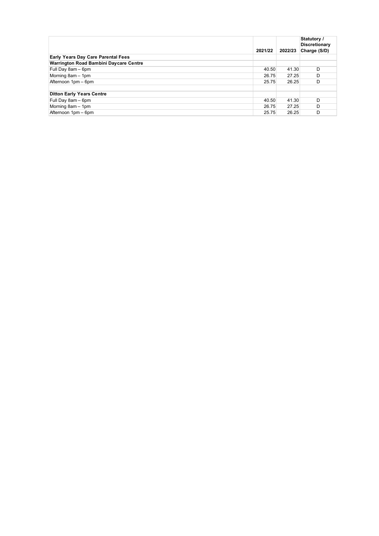|                                               | 2021/22 | 2022/23 | Statutory /<br><b>Discretionary</b><br>Charge (S/D) |
|-----------------------------------------------|---------|---------|-----------------------------------------------------|
| <b>Early Years Day Care Parental Fees</b>     |         |         |                                                     |
| <b>Warrington Road Bambini Daycare Centre</b> |         |         |                                                     |
| Full Day 8am - 6pm                            | 40.50   | 41.30   | D                                                   |
| Morning 8am - 1pm                             | 26.75   | 27.25   | D                                                   |
| Afternoon 1pm - 6pm                           | 25.75   | 26.25   | D                                                   |
|                                               |         |         |                                                     |
| <b>Ditton Early Years Centre</b>              |         |         |                                                     |
| Full Day 8am - 6pm                            | 40.50   | 41.30   | D                                                   |
| Morning 8am - 1pm                             | 26.75   | 27.25   | D                                                   |
| Afternoon 1pm - 6pm                           | 25.75   | 26.25   | D                                                   |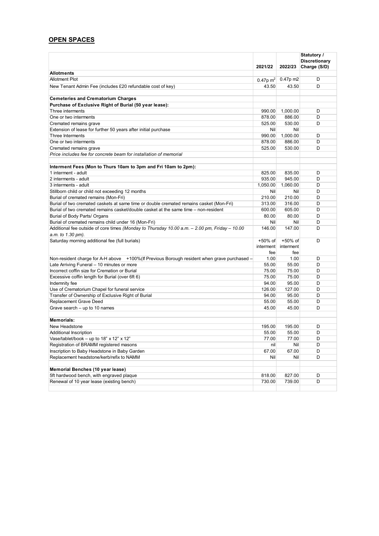# **OPEN SPACES**

|                                                                                               | 2021/22              | 2022/23    | Statutory /<br><b>Discretionary</b><br>Charge (S/D) |
|-----------------------------------------------------------------------------------------------|----------------------|------------|-----------------------------------------------------|
| <b>Allotments</b>                                                                             |                      |            |                                                     |
| <b>Allotment Plot</b>                                                                         | 0.47p m <sup>2</sup> | $0.47p$ m2 | D                                                   |
| New Tenant Admin Fee (includes £20 refundable cost of key)                                    | 43.50                | 43.50      | D                                                   |
|                                                                                               |                      |            |                                                     |
| <b>Cemeteries and Crematorium Charges</b>                                                     |                      |            |                                                     |
| Purchase of Exclusive Right of Burial (50 year lease):                                        |                      |            |                                                     |
| Three interments                                                                              | 990.00               | 1,000.00   | D                                                   |
| One or two interments                                                                         | 878.00               | 886.00     | D                                                   |
| Cremated remains grave                                                                        | 525.00               | 530.00     | D                                                   |
| Extension of lease for further 50 years after initial purchase                                | Nil                  | Nil        |                                                     |
| Three Interments                                                                              | 990.00               | 1,000.00   | D                                                   |
| One or two interments                                                                         | 878.00               | 886.00     | D                                                   |
| Cremated remains grave                                                                        | 525.00               | 530.00     | D                                                   |
| Price includes fee for concrete beam for installation of memorial                             |                      |            |                                                     |
|                                                                                               |                      |            |                                                     |
| Interment Fees (Mon to Thurs 10am to 3pm and Fri 10am to 2pm):                                |                      |            |                                                     |
| 1 interment - adult                                                                           | 825.00               | 835.00     | D                                                   |
| 2 interments - adult                                                                          | 935.00               | 945.00     | D                                                   |
| 3 interments - adult                                                                          | 1,050.00             | 1,060.00   | D                                                   |
| Stillborn child or child not exceeding 12 months                                              | Nil                  | Nil        | D                                                   |
| Burial of cremated remains (Mon-Fri)                                                          | 210.00               | 210.00     | D                                                   |
| Burial of two cremated caskets at same time or double cremated remains casket (Mon-Fri)       | 313.00               | 316.00     | D                                                   |
| Burial of two cremated remains casket/double casket at the same time – non-resident           | 600.00               | 605.00     | D                                                   |
| Burial of Body Parts/ Organs                                                                  | 80.00                | 80.00      | D                                                   |
| Burial of cremated remains child under 16 (Mon-Fri)                                           | Nil                  | Nil        | D                                                   |
| Additional fee outside of core times (Monday to Thursday 10.00 a.m. - 2.00 pm, Friday - 10.00 | 146.00               | 147.00     | D                                                   |
| a.m. to 1.30 pm).                                                                             |                      |            |                                                     |
| Saturday morning additional fee (full burials)                                                | +50% of              | +50% of    | D                                                   |
|                                                                                               | interment            | interment  |                                                     |
|                                                                                               | fee                  | fee        |                                                     |
| Non-resident charge for A-H above +100% (If Previous Borough resident when grave purchased -  | 1.00                 | 1.00       | D                                                   |
| Late Arriving Funeral - 10 minutes or more                                                    | 55.00                | 55.00      | D                                                   |
| Incorrect coffin size for Cremation or Burial                                                 | 75.00                | 75.00      | D                                                   |
| Excessive coffin length for Burial (over 6ft 6)                                               | 75.00                | 75.00      | D                                                   |
| Indemnity fee                                                                                 | 94.00                | 95.00      | D                                                   |
| Use of Crematorium Chapel for funeral service                                                 | 126.00               | 127.00     | D                                                   |
| Transfer of Ownership of Exclusive Right of Burial                                            | 94.00                | 95.00      | D                                                   |
| Replacement Grave Deed                                                                        | 55.00                | 55.00      | D                                                   |
| Grave search – up to 10 names                                                                 | 45.00                | 45.00      | D                                                   |
|                                                                                               |                      |            |                                                     |
| <b>Memorials:</b>                                                                             |                      |            |                                                     |
| New Headstone                                                                                 | 195.00               | 195.00     | D                                                   |
| Additional Inscription                                                                        | 55.00                | 55.00      | D                                                   |
| Vase/tablet/book - up to 18" x 12" x 12"                                                      | 77.00                | 77.00      | D                                                   |
| Registration of BRAMM registered masons                                                       | nil                  | Nil        | D                                                   |
| Inscription to Baby Headstone in Baby Garden                                                  | 67.00                | 67.00      | D                                                   |
| Replacement headstone/kerb/refix to NAMM                                                      | Nil                  | Nil        | D                                                   |
|                                                                                               |                      |            |                                                     |
| Memorial Benches (10 year lease)                                                              |                      |            |                                                     |
| 5ft hardwood bench, with engraved plaque                                                      | 818.00               | 827.00     | D                                                   |
| Renewal of 10 year lease (existing bench)                                                     | 730.00               | 739.00     | D                                                   |
|                                                                                               |                      |            |                                                     |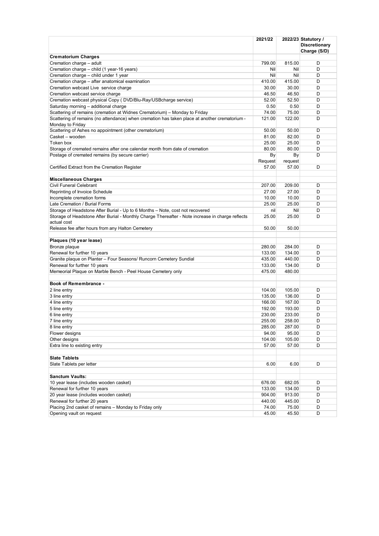|                                                                                                  | 2021/22 |            | 2022/23 Statutory /                  |
|--------------------------------------------------------------------------------------------------|---------|------------|--------------------------------------|
|                                                                                                  |         |            | <b>Discretionary</b><br>Charge (S/D) |
| <b>Crematorium Charges</b>                                                                       |         |            |                                      |
| Cremation charge - adult                                                                         | 799.00  | 815.00     | D                                    |
| Cremation charge - child (1 year-16 years)                                                       | Nil     | <b>Nil</b> | D                                    |
| Cremation charge - child under 1 year                                                            | Nil     | Nil        | D                                    |
| Cremation charge - after anatomical examination                                                  | 410.00  | 415.00     | D                                    |
| Cremation webcast Live service charge                                                            | 30.00   | 30.00      | D                                    |
| Cremation webcast service charge                                                                 | 46.50   | 46.50      | D                                    |
| Cremation webcast physical Copy (DVD/Blu-Ray/USBcharge service)                                  | 52.00   | 52.50      | D                                    |
| Saturday morning - additional charge                                                             | 0.50    | 0.50       | D                                    |
| Scattering of remains (cremation at Widnes Crematorium) - Monday to Friday                       | 74.00   | 75.00      | D                                    |
| Scattering of remains (no attendance) when cremation has taken place at another crematorium -    | 121.00  | 122.00     | D                                    |
| Monday to Friday                                                                                 |         |            |                                      |
| Scattering of Ashes no appointment (other crematorium)                                           | 50.00   | 50.00      | D                                    |
| Casket - wooden                                                                                  | 81.00   | 82.00      | D                                    |
| Token box                                                                                        | 25.00   | 25.00      | D                                    |
| Storage of cremated remains after one calendar month from date of cremation                      | 80.00   | 80.00      | D                                    |
| Postage of cremated remains (by secure carrier)                                                  | By      | By         | D                                    |
|                                                                                                  | Request | request    |                                      |
| Certified Extract from the Cremation Register                                                    | 57.00   | 57.00      | D                                    |
| <b>Miscellaneous Charges</b>                                                                     |         |            |                                      |
| Civil Funeral Celebrant                                                                          | 207.00  | 209.00     | D                                    |
| Reprinting of Invoice Schedule                                                                   | 27.00   | 27.00      | D                                    |
| Incomplete cremation forms                                                                       | 10.00   | 10.00      | D                                    |
| Late Cremation / Burial Forms                                                                    | 25.00   | 25.00      | D                                    |
| Storage of Headstone After Burial - Up to 6 Months - Note, cost not recovered                    | nil     | Nil        | D                                    |
| Storage of Headstone After Burial - Monthly Charge Thereafter - Note increase in charge reflects | 25.00   | 25.00      | D                                    |
| actual cost                                                                                      |         |            |                                      |
| Release fee after hours from any Halton Cemetery                                                 | 50.00   | 50.00      |                                      |
| Plaques (10 year lease)                                                                          |         |            |                                      |
| Bronze plaque                                                                                    | 280.00  | 284.00     | D                                    |
| Renewal for further 10 years                                                                     | 133.00  | 134.00     | D                                    |
| Granite plaque on Planter - Four Seasons/ Runcorn Cemetery Sundial                               | 435.00  | 440.00     | D                                    |
| Renewal for further 10 years                                                                     | 133.00  | 134.00     | D                                    |
| Memeorial Plaque on Marble Bench - Peel House Cemetery only                                      | 475.00  | 480.00     |                                      |
|                                                                                                  |         |            |                                      |
| <b>Book of Remembrance -</b>                                                                     |         |            |                                      |
| 2 line entry                                                                                     | 104.00  | 105.00     | D                                    |
| 3 line entry                                                                                     | 135.00  | 136.00     | D                                    |
| 4 line entry                                                                                     | 166.00  | 167.00     | D                                    |
| 5 line entry                                                                                     | 192.00  | 193.00     | D                                    |
| 6 line entry                                                                                     | 230.00  | 233.00     | D                                    |
| 7 line entry                                                                                     | 255.00  | 258.00     | D                                    |
| 8 line entry                                                                                     | 285.00  | 287.00     | D                                    |
| Flower designs                                                                                   | 94.00   | 95.00      | D                                    |
| Other designs                                                                                    | 104.00  | 105.00     | D                                    |
| Extra line to existing entry                                                                     | 57.00   | 57.00      | D                                    |
|                                                                                                  |         |            |                                      |
| <b>Slate Tablets</b><br>Slate Tablets per letter                                                 | 6.00    | 6.00       | D                                    |
|                                                                                                  |         |            |                                      |
| <b>Sanctum Vaults:</b>                                                                           |         |            |                                      |
| 10 year lease (includes wooden casket)                                                           | 676.00  | 682.05     | D                                    |
| Renewal for further 10 years                                                                     | 133.00  | 134.00     | D                                    |
| 20 year lease (includes wooden casket)                                                           | 904.00  | 913.00     | D                                    |
| Renewal for further 20 years                                                                     | 440.00  | 445.00     | D                                    |
| Placing 2nd casket of remains - Monday to Friday only                                            | 74.00   | 75.00      | D                                    |
| Opening vault on request                                                                         | 45.00   | 45.50      | D                                    |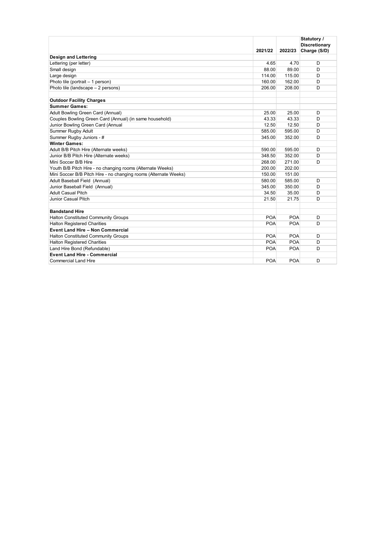|                                                                  | 2021/22    | 2022/23    | Statutory /<br><b>Discretionary</b><br>Charge (S/D) |
|------------------------------------------------------------------|------------|------------|-----------------------------------------------------|
| <b>Design and Lettering</b>                                      |            |            |                                                     |
| Lettering (per letter)                                           | 4.65       | 4.70       | D                                                   |
| Small design                                                     | 88.00      | 89.00      | D                                                   |
| Large design                                                     | 114.00     | 115.00     | D                                                   |
| Photo tile (portrait - 1 person)                                 | 160.00     | 162.00     | D                                                   |
| Photo tile (landscape - 2 persons)                               | 206.00     | 208.00     | D                                                   |
| <b>Outdoor Facility Charges</b>                                  |            |            |                                                     |
| <b>Summer Games:</b>                                             |            |            |                                                     |
| Adult Bowling Green Card (Annual)                                | 25.00      | 25.00      | D                                                   |
| Couples Bowling Green Card (Annual) (in same household)          | 43.33      | 43.33      | D                                                   |
| Junior Bowling Green Card (Annual                                | 12.50      | 12.50      | D                                                   |
| Summer Rugby Adult                                               | 585.00     | 595.00     | D                                                   |
| Summer Rugby Juniors - #                                         | 345.00     | 352.00     | D                                                   |
| <b>Winter Games:</b>                                             |            |            |                                                     |
| Adult B/B Pitch Hire (Alternate weeks)                           | 590.00     | 595.00     | D                                                   |
| Junior B/B Pitch Hire (Alternate weeks)                          | 348.50     | 352.00     | D                                                   |
| Mini Soccer B/B Hire                                             | 268.00     | 271.00     | D                                                   |
| Youth B/B Pitch Hire - no changing rooms (Alternate Weeks)       | 200.00     | 202.00     |                                                     |
| Mini Soccer B/B Pitch Hire - no changing rooms (Alternate Weeks) | 150.00     | 151.00     |                                                     |
| Adult Baseball Field (Annual)                                    | 580.00     | 585.00     | D                                                   |
| Junior Baseball Field (Annual)                                   | 345.00     | 350.00     | D                                                   |
| Adult Casual Pitch                                               | 34.50      | 35.00      | D                                                   |
| Junior Casual Pitch                                              | 21.50      | 21.75      | D                                                   |
| <b>Bandstand Hire</b>                                            |            |            |                                                     |
| <b>Halton Constituted Community Groups</b>                       | <b>POA</b> | <b>POA</b> | D                                                   |
| <b>Halton Registered Charities</b>                               | <b>POA</b> | <b>POA</b> | D                                                   |
| <b>Event Land Hire - Non Commercial</b>                          |            |            |                                                     |
| <b>Halton Constituted Community Groups</b>                       | <b>POA</b> | <b>POA</b> | D                                                   |
| <b>Halton Registered Charities</b>                               | <b>POA</b> | <b>POA</b> | D                                                   |
| Land Hire Bond (Refundable)                                      | <b>POA</b> | <b>POA</b> | D                                                   |
| <b>Event Land Hire - Commercial</b>                              |            |            |                                                     |
| <b>Commercial Land Hire</b>                                      | <b>POA</b> | <b>POA</b> | D                                                   |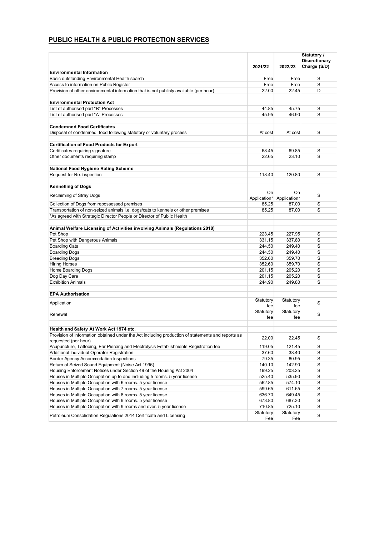# **PUBLIC HEALTH & PUBLIC PROTECTION SERVICES**

|                                                                                                                           | 2021/22          | 2022/23                   | Statutory /<br><b>Discretionary</b><br>Charge (S/D) |
|---------------------------------------------------------------------------------------------------------------------------|------------------|---------------------------|-----------------------------------------------------|
| <b>Environmental Information</b>                                                                                          |                  |                           |                                                     |
| Basic outstanding Environmental Health search                                                                             | Free             | Free                      | S                                                   |
| Access to information on Public Register                                                                                  | Free             | Free                      | S                                                   |
| Provision of other environmental information that is not publicly available (per hour)                                    | 22.00            | 22.45                     | D                                                   |
|                                                                                                                           |                  |                           |                                                     |
| <b>Environmental Protection Act</b>                                                                                       |                  |                           |                                                     |
| List of authorised part "B" Processes                                                                                     | 44.85            | 45.75                     | S                                                   |
| List of authorised part "A" Processes                                                                                     | 45.95            | 46.90                     | S                                                   |
|                                                                                                                           |                  |                           |                                                     |
| <b>Condemned Food Certificates</b><br>Disposal of condemned food following statutory or voluntary process                 | At cost          | At cost                   | S                                                   |
|                                                                                                                           |                  |                           |                                                     |
| <b>Certification of Food Products for Export</b>                                                                          |                  |                           |                                                     |
| Certificates requiring signature                                                                                          | 68.45            | 69.85                     | S                                                   |
| Other documents requiring stamp                                                                                           | 22.65            | 23.10                     | S                                                   |
|                                                                                                                           |                  |                           |                                                     |
| National Food Hygiene Rating Scheme                                                                                       |                  |                           |                                                     |
| Request for Re-Inspection                                                                                                 | 118.40           | 120.80                    | S                                                   |
|                                                                                                                           |                  |                           |                                                     |
| <b>Kennelling of Dogs</b>                                                                                                 |                  |                           |                                                     |
|                                                                                                                           | On               | On                        | S                                                   |
| Reclaiming of Stray Dogs                                                                                                  |                  | Application* Application* |                                                     |
| Collection of Dogs from repossessed premises                                                                              | 85.25            | 87.00                     | S                                                   |
| Transportation of non-seized animals i.e. dogs/cats to kennels or other premises                                          | 85.25            | 87.00                     | S                                                   |
| *As agreed with Strategic Director People or Director of Public Health                                                    |                  |                           |                                                     |
|                                                                                                                           |                  |                           |                                                     |
| Animal Welfare Licensing of Activities involving Animals (Regulations 2018)                                               |                  |                           |                                                     |
| Pet Shop                                                                                                                  | 223.45           | 227.95                    | S                                                   |
| Pet Shop with Dangerous Animals                                                                                           | 331.15           | 337.80                    | S                                                   |
| <b>Boarding Cats</b>                                                                                                      | 244.50           | 249.40                    | S<br>S                                              |
| <b>Boarding Dogs</b><br><b>Breeding Dogs</b>                                                                              | 244.50<br>352.60 | 249.40<br>359.70          | S                                                   |
| <b>Hiring Horses</b>                                                                                                      | 352.60           | 359.70                    | S                                                   |
| Home Boarding Dogs                                                                                                        | 201.15           | 205.20                    | S                                                   |
| Dog Day Care                                                                                                              | 201.15           | 205.20                    | S                                                   |
| <b>Exhibition Animals</b>                                                                                                 | 244.90           | 249.80                    | S                                                   |
|                                                                                                                           |                  |                           |                                                     |
| <b>EPA Authorisation</b>                                                                                                  |                  |                           |                                                     |
|                                                                                                                           | Statutory        | Statutory                 |                                                     |
| Application                                                                                                               | fee              | fee                       | S                                                   |
| Renewal                                                                                                                   | Statutory        | Statutory                 | S                                                   |
|                                                                                                                           | fee              | fee                       |                                                     |
|                                                                                                                           |                  |                           |                                                     |
| Health and Safety At Work Act 1974 etc.                                                                                   |                  |                           |                                                     |
| Provision of information obtained under the Act including production of statements and reports as<br>requested (per hour) | 22.00            | 22.45                     | S                                                   |
| Acupuncture, Tattooing, Ear Piercing and Electrolysis Establishments Registration fee                                     | 119.05           | 121.45                    | S                                                   |
| Additional Individual Operator Registration                                                                               | 37.60            | 38.40                     | $\mathbb S$                                         |
| <b>Border Agency Accommodation Inspections</b>                                                                            | 79.35            | 80.95                     | $\rm s$                                             |
| Return of Seized Sound Equipment (Noise Act 1996)                                                                         | 140.10           | 142.90                    | $\mathbb S$                                         |
| Housing Enforcement Notices under Section 49 of the Housing Act 2004                                                      | 199.25           | 203.25                    | $\mathbf S$                                         |
| Houses in Multiple Occupation up to and including 5 rooms. 5 year license                                                 | 525.40           | 535.90                    | S                                                   |
| Houses in Multiple Occupation with 6 rooms. 5 year license                                                                | 562.85           | 574.10                    | $\mathbf S$                                         |
| Houses in Multiple Occupation with 7 rooms. 5 year license                                                                | 599.65           | 611.65                    | S                                                   |
| Houses in Multiple Occupation with 8 rooms. 5 year license                                                                | 636.70           | 649.45                    | $\mathbb S$                                         |
| Houses in Multiple Occupation with 9 rooms. 5 year license                                                                | 673.80           | 687.30                    | S                                                   |
| Houses in Multiple Occupation with 9 rooms and over. 5 year license                                                       | 710.85           | 725.10                    | $\rm s$                                             |
|                                                                                                                           | Statutory        | Statutory                 |                                                     |
| Petroleum Consolidation Regulations 2014 Certificate and Licensing                                                        | Fee              | Fee                       | S                                                   |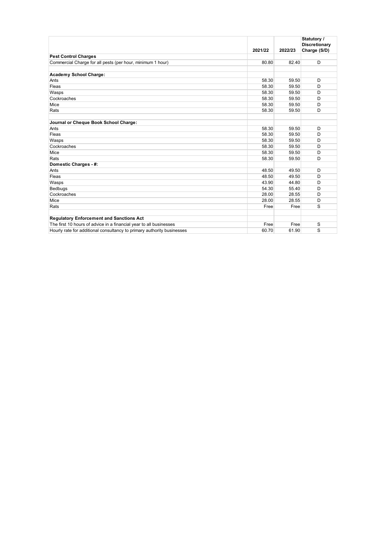|                                                                        | 2021/22 | 2022/23 | Statutory /<br><b>Discretionary</b><br>Charge (S/D) |
|------------------------------------------------------------------------|---------|---------|-----------------------------------------------------|
| <b>Pest Control Charges</b>                                            |         |         |                                                     |
| Commercial Charge for all pests (per hour, minimum 1 hour)             | 80.80   | 82.40   | D                                                   |
| <b>Academy School Charge:</b>                                          |         |         |                                                     |
| Ants                                                                   | 58.30   | 59.50   | D                                                   |
| Fleas                                                                  | 58.30   | 59.50   | D                                                   |
| Wasps                                                                  | 58.30   | 59.50   | D                                                   |
| Cockroaches                                                            | 58.30   | 59.50   | D                                                   |
| Mice                                                                   | 58.30   | 59.50   | D                                                   |
| Rats                                                                   | 58.30   | 59.50   | D                                                   |
| Journal or Cheque Book School Charge:                                  |         |         |                                                     |
| Ants                                                                   | 58.30   | 59.50   | D                                                   |
| Fleas                                                                  | 58.30   | 59.50   | D                                                   |
| Wasps                                                                  | 58.30   | 59.50   | D                                                   |
| Cockroaches                                                            | 58.30   | 59.50   | D                                                   |
| Mice                                                                   | 58.30   | 59.50   | D                                                   |
| Rats                                                                   | 58.30   | 59.50   | D                                                   |
| Domestic Charges - #:                                                  |         |         |                                                     |
| Ants                                                                   | 48.50   | 49.50   | D                                                   |
| Fleas                                                                  | 48.50   | 49.50   | D                                                   |
| Wasps                                                                  | 43.90   | 44.80   | D                                                   |
| Bedbugs                                                                | 54.30   | 55.40   | D                                                   |
| Cockroaches                                                            | 28.00   | 28.55   | D                                                   |
| Mice                                                                   | 28.00   | 28.55   | D                                                   |
| Rats                                                                   | Free    | Free    | S                                                   |
| <b>Regulatory Enforcement and Sanctions Act</b>                        |         |         |                                                     |
| The first 10 hours of advice in a financial year to all businesses     | Free    | Free    | S                                                   |
| Hourly rate for additional consultancy to primary authority businesses | 60.70   | 61.90   | S                                                   |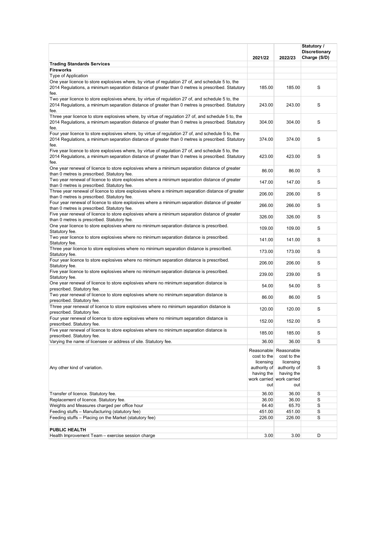|                                                                                                                                                                                                                  | 2021/22                                                       | 2022/23                                                                                                             | Statutory /<br><b>Discretionary</b><br>Charge (S/D) |
|------------------------------------------------------------------------------------------------------------------------------------------------------------------------------------------------------------------|---------------------------------------------------------------|---------------------------------------------------------------------------------------------------------------------|-----------------------------------------------------|
| <b>Trading Standards Services</b>                                                                                                                                                                                |                                                               |                                                                                                                     |                                                     |
| <b>Fireworks</b>                                                                                                                                                                                                 |                                                               |                                                                                                                     |                                                     |
| Type of Application                                                                                                                                                                                              |                                                               |                                                                                                                     |                                                     |
| One year licence to store explosives where, by virtue of regulation 27 of, and schedule 5 to, the<br>2014 Regulations, a minimum separation distance of greater than 0 metres is prescribed. Statutory<br>fee.   | 185.00                                                        | 185.00                                                                                                              | S                                                   |
| Two year licence to store explosives where, by virtue of regulation 27 of, and schedule 5 to, the<br>2014 Regulations, a minimum separation distance of greater than 0 metres is prescribed. Statutory<br>fee.   | 243.00                                                        | 243.00                                                                                                              | S                                                   |
| Three year licence to store explosives where, by virtue of regulation 27 of, and schedule 5 to, the<br>2014 Requlations, a minimum separation distance of greater than 0 metres is prescribed. Statutory<br>fee. | 304.00                                                        | 304.00                                                                                                              | S                                                   |
| Four year licence to store explosives where, by virtue of regulation 27 of, and schedule 5 to, the<br>2014 Regulations, a minimum separation distance of greater than 0 metres is prescribed. Statutory<br>fee.  | 374.00                                                        | 374.00                                                                                                              | S                                                   |
| Five year licence to store explosives where, by virtue of regulation 27 of, and schedule 5 to, the<br>2014 Regulations, a minimum separation distance of greater than 0 metres is prescribed. Statutory<br>fee.  | 423.00                                                        | 423.00                                                                                                              | S                                                   |
| One year renewal of licence to store explosives where a minimum separation distance of greater<br>than 0 metres is prescribed. Statutory fee.                                                                    | 86.00                                                         | 86.00                                                                                                               | S                                                   |
| Two year renewal of licence to store explosives where a minimum separation distance of greater<br>than 0 metres is prescribed. Statutory fee.                                                                    | 147.00                                                        | 147.00                                                                                                              | S                                                   |
| Three year renewal of licence to store explosives where a minimum separation distance of greater<br>than 0 metres is prescribed. Statutory fee.                                                                  | 206.00                                                        | 206.00                                                                                                              | S                                                   |
| Four year renewal of licence to store explosives where a minimum separation distance of greater<br>than 0 metres is prescribed. Statutory fee.                                                                   | 266.00                                                        | 266.00                                                                                                              | S                                                   |
| Five year renewal of licence to store explosives where a minimum separation distance of greater<br>than 0 metres is prescribed. Statutory fee.                                                                   | 326.00                                                        | 326.00                                                                                                              | S                                                   |
| One year licence to store explosives where no minimum separation distance is prescribed.<br>Statutory fee.                                                                                                       | 109.00                                                        | 109.00                                                                                                              | S                                                   |
| Two year licence to store explosives where no minimum separation distance is prescribed.<br>Statutory fee.                                                                                                       | 141.00                                                        | 141.00                                                                                                              | S                                                   |
| Three year licence to store explosives where no minimum separation distance is prescribed.<br>Statutory fee.                                                                                                     | 173.00                                                        | 173.00                                                                                                              | S                                                   |
| Four year licence to store explosives where no minimum separation distance is prescribed.<br>Statutory fee.                                                                                                      | 206.00                                                        | 206.00                                                                                                              | S                                                   |
| Five year licence to store explosives where no minimum separation distance is prescribed.<br>Statutory fee.                                                                                                      | 239.00                                                        | 239.00                                                                                                              | S                                                   |
| One year renewal of licence to store explosives where no minimum separation distance is<br>prescribed. Statutory fee.                                                                                            | 54.00                                                         | 54.00                                                                                                               | S                                                   |
| Two year renewal of licence to store explosives where no minimum separation distance is<br>prescribed. Statutory fee.                                                                                            | 86.00                                                         | 86.00                                                                                                               | S                                                   |
| Three year renewal of licence to store explosives where no minimum separation distance is<br>prescribed. Statutory fee.                                                                                          | 120.00                                                        | 120.00                                                                                                              | S                                                   |
| Four year renewal of licence to store explosives where no minimum separation distance is<br>prescribed. Statutory fee.                                                                                           | 152.00                                                        | 152.00                                                                                                              | S                                                   |
| Five year renewal of licence to store explosives where no minimum separation distance is<br>prescribed. Statutory fee.                                                                                           | 185.00                                                        | 185.00                                                                                                              | S                                                   |
| Varying the name of licensee or address of site. Statutory fee.                                                                                                                                                  | 36.00                                                         | 36.00                                                                                                               | S                                                   |
| Any other kind of variation.                                                                                                                                                                                     | cost to the<br>licensing<br>authority of<br>having the<br>out | Reasonable Reasonable<br>cost to the<br>licensing<br>authority of<br>having the<br>work carried work carried<br>out | S                                                   |
| Transfer of licence. Statutory fee.                                                                                                                                                                              | 36.00                                                         | 36.00                                                                                                               | S                                                   |
| Replacement of licence. Statutory fee.                                                                                                                                                                           | 36.00                                                         | 36.00                                                                                                               | S                                                   |
| Weights and Measures charged per office hour                                                                                                                                                                     | 64.40                                                         | 65.70                                                                                                               | S                                                   |
| Feeding stuffs - Manufacturing (statutory fee)                                                                                                                                                                   | 451.00                                                        | 451.00                                                                                                              | S                                                   |
| Feeding stuffs - Placing on the Market (statutory fee)                                                                                                                                                           | 226.00                                                        | 226.00                                                                                                              | S                                                   |
| PUBLIC HEALTH                                                                                                                                                                                                    |                                                               |                                                                                                                     |                                                     |
| Health Improvement Team - exercise session charge                                                                                                                                                                | 3.00                                                          | 3.00                                                                                                                | D                                                   |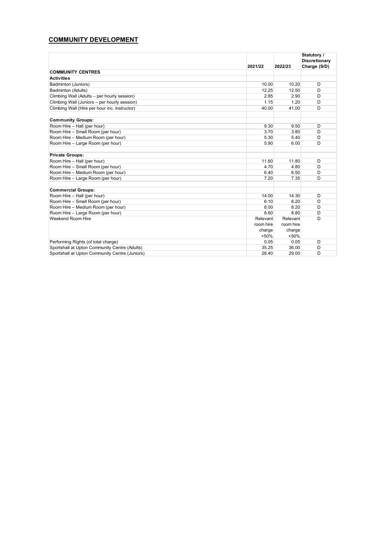# **COMMUNITY DEVELOPMENT**

|                                                | 2021/22   | 2022/23   | Statutory /<br><b>Discretionary</b><br>Charge (S/D) |
|------------------------------------------------|-----------|-----------|-----------------------------------------------------|
| <b>COMMUNITY CENTRES</b>                       |           |           |                                                     |
| <b>Activities</b>                              |           |           |                                                     |
| Badminton (Juniors)                            | 10.00     | 10.20     | D                                                   |
| Badminton (Adults)                             | 12.25     | 12.50     | D                                                   |
| Climbing Wall (Adults - per hourly session)    | 2.85      | 2.90      | D                                                   |
| Climbing Wall (Juniors - per hourly session)   | 1.15      | 1.20      | D                                                   |
| Climbing Wall (Hire per hour inc. instructor)  | 40.00     | 41.00     | D                                                   |
| <b>Community Groups:</b>                       |           |           |                                                     |
| Room Hire - Hall (per hour)                    | 9.30      | 9.50      | D                                                   |
| Room Hire - Small Room (per hour)              | 3.70      | 3.80      | D                                                   |
| Room Hire - Medium Room (per hour)             | 5.30      | 5.40      | D                                                   |
| Room Hire - Large Room (per hour)              | 5.90      | 6.00      | D                                                   |
| <b>Private Groups:</b>                         |           |           |                                                     |
| Room Hire - Hall (per hour)                    | 11.60     | 11.80     | D                                                   |
| Room Hire - Small Room (per hour)              | 4.70      | 4.80      | D                                                   |
| Room Hire - Medium Room (per hour)             | 6.40      | 6.50      | D                                                   |
| Room Hire - Large Room (per hour)              | 7.20      | 7.35      | D                                                   |
| <b>Commercial Groups:</b>                      |           |           |                                                     |
| Room Hire - Hall (per hour)                    | 14.00     | 14.30     | D                                                   |
| Room Hire - Small Room (per hour)              | 6.10      | 6.20      | D                                                   |
| Room Hire - Medium Room (per hour)             | 8.00      | 8.20      | D                                                   |
| Room Hire - Large Room (per hour)              | 8.60      | 8.80      | D                                                   |
| Weekend Room Hire                              | Relevant  | Relevant  | D                                                   |
|                                                | room hire | room hire |                                                     |
|                                                | charge    | charge    |                                                     |
|                                                | $+50%$    | $+50%$    |                                                     |
| Performing Rights (of total charge)            | 0.05      | 0.05      | D                                                   |
| Sportshall at Upton Community Centre (Adults)  | 35.25     | 36.00     | D                                                   |
| Sportshall at Upton Community Centre (Juniors) | 28.40     | 29.00     | D                                                   |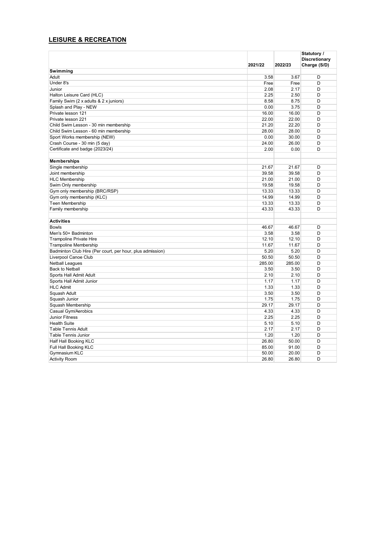## **LEISURE & RECREATION**

|                                                           |         |         | Statutory /                          |
|-----------------------------------------------------------|---------|---------|--------------------------------------|
|                                                           | 2021/22 | 2022/23 | <b>Discretionary</b><br>Charge (S/D) |
|                                                           |         |         |                                      |
| Swimming<br>Adult                                         | 3.58    | 3.67    | D                                    |
| Under 8's                                                 | Free    | Free    | D                                    |
| Junior                                                    |         |         | D                                    |
|                                                           | 2.08    | 2.17    |                                      |
| Halton Leisure Card (HLC)                                 | 2.25    | 2.50    | D                                    |
| Family Swim (2 x adults & 2 x juniors)                    | 8.58    | 8.75    | D                                    |
| Splash and Play - NEW                                     | 0.00    | 3.75    | D                                    |
| Private lesson 121                                        | 16.00   | 16.00   | D                                    |
| Private lesson 221                                        | 22.00   | 22.00   | D                                    |
| Child Swim Lesson - 30 min membership                     | 21.20   | 22.20   | D                                    |
| Child Swim Lesson - 60 min membership                     | 28.00   | 28.00   | D                                    |
| Sport Works membership (NEW)                              | 0.00    | 30.00   | D                                    |
| Crash Course - 30 min (5 day)                             | 24.00   | 26.00   | D                                    |
| Certificate and badge (2023/24)                           | 2.00    | 0.00    | D                                    |
| <b>Memberships</b>                                        |         |         |                                      |
| Single membership                                         | 21.67   | 21.67   | D                                    |
| Joint membership                                          | 39.58   | 39.58   | D                                    |
| <b>HLC Membership</b>                                     | 21.00   | 21.00   | D                                    |
| Swim Only membership                                      | 19.58   | 19.58   | D                                    |
|                                                           | 13.33   | 13.33   | D                                    |
| Gym only membership (BRC/RSP)                             | 14.99   | 14.99   | D                                    |
| Gym only membership (KLC)                                 |         |         |                                      |
| <b>Teen Membership</b>                                    | 13.33   | 13.33   | D                                    |
| Family membership                                         | 43.33   | 43.33   | D                                    |
| <b>Activities</b>                                         |         |         |                                      |
| <b>Bowls</b>                                              | 46.67   | 46.67   | D                                    |
| Men's 50+ Badminton                                       | 3.58    | 3.58    | D                                    |
| <b>Trampoline Private Hire</b>                            | 12.10   | 12.10   | D                                    |
| <b>Trampoline Membership</b>                              | 11.67   | 11.67   | D                                    |
| Badminton Club Hire (Per court, per hour, plus admission) | 5.20    | 5.20    | D                                    |
| Liverpool Canoe Club                                      | 50.50   | 50.50   | D                                    |
| <b>Netball Leagues</b>                                    | 285.00  | 285.00  | D                                    |
| <b>Back to Netball</b>                                    | 3.50    | 3.50    | D                                    |
| Sports Hall Admit Adult                                   | 2.10    | 2.10    | D                                    |
| Sports Hall Admit Junior                                  | 1.17    | 1.17    | D                                    |
| <b>HLC Admit</b>                                          | 1.33    | 1.33    | D                                    |
| Squash Adult                                              | 3.50    | 3.50    | D                                    |
| Squash Junior                                             | 1.75    | 1.75    | D                                    |
| Squash Membership                                         | 29.17   | 29.17   | D                                    |
|                                                           | 4.33    | 4.33    | D                                    |
| Casual Gym/Aerobics<br><b>Junior Fitness</b>              |         |         | D                                    |
| <b>Health Suite</b>                                       | 2.25    | 2.25    | D                                    |
|                                                           | 5.10    | 5.10    |                                      |
| <b>Table Tennis Adult</b>                                 | 2.17    | 2.17    | D                                    |
| <b>Table Tennis Junior</b>                                | 1.20    | 1.20    | D                                    |
| Half Hall Booking KLC                                     | 26.80   | 50.00   | D                                    |
| Full Hall Booking KLC                                     | 85.00   | 91.00   | D                                    |
| Gymnasium KLC                                             | 50.00   | 20.00   | D                                    |
| <b>Activity Room</b>                                      | 26.80   | 26.80   | D                                    |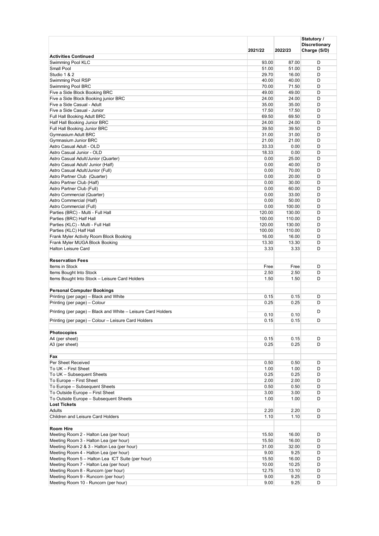|                                                              |                |                 | Statutory /<br><b>Discretionary</b> |
|--------------------------------------------------------------|----------------|-----------------|-------------------------------------|
|                                                              | 2021/22        | 2022/23         | Charge (S/D)                        |
| <b>Activities Continued</b>                                  |                |                 |                                     |
| Swimming Pool KLC                                            | 93.00          | 87.00           | D                                   |
| Small Pool                                                   | 51.00          | 51.00           | D                                   |
| Studio 1 & 2                                                 | 29.70          | 16.00           | D                                   |
| Swimming Pool RSP                                            | 40.00          | 40.00           | D<br>D                              |
| Swimming Pool BRC<br>Five a Side Block Booking BRC           | 70.00<br>49.00 | 71.50<br>49.00  | D                                   |
| Five a Side Block Booking junior BRC                         | 24.00          | 24.00           | D                                   |
| Five a Side Casual - Adult                                   | 35.00          | 35.00           | D                                   |
| Five a Side Casual - Junior                                  | 17.50          | 17.50           | D                                   |
| Full Hall Booking Adult BRC                                  | 69.50          | 69.50           | D                                   |
| Half Hall Booking Junior BRC                                 | 24.00          | 24.00           | D                                   |
| Full Hall Booking Junior BRC                                 | 39.50          | 39.50           | D                                   |
| Gymnasium Adult BRC                                          | 31.00          | 31.00           | D                                   |
| Gymnasium Junior BRC<br>Astro Casual Adult - OLD             | 21.00<br>33.33 | 21.00<br>0.00   | D<br>D                              |
| Astro Casual Junior - OLD                                    | 18.33          | 0.00            | D                                   |
| Astro Casual Adult/Junior (Quarter)                          | 0.00           | 25.00           | D                                   |
| Astro Casual Adult/ Junior (Half)                            | 0.00           | 40.00           | D                                   |
| Astro Casual Adult/Junior (Full)                             | 0.00           | 70.00           | D                                   |
| Astro Partner Club (Quarter)                                 | 0.00           | 20.00           | D                                   |
| Astro Partner Club (Half)                                    | 0.00           | 30.00           | D                                   |
| Astro Partner Club (Full)                                    | 0.00           | 60.00           | D                                   |
| Astro Commercial (Quarter)                                   | 0.00           | 33.00           | D                                   |
| Astro Commercial (Half)<br>Astro Commercial (Full)           | 0.00<br>0.00   | 50.00<br>100.00 | D<br>D                              |
| Parties (BRC) - Multi - Full Hall                            | 120.00         | 130.00          | D                                   |
| Parties (BRC) Half Hall                                      | 100.00         | 110.00          | D                                   |
| Parties (KLC) - Multi - Full Hall                            | 120.00         | 130.00          | D                                   |
| Parties (KLC) Half Hall                                      | 100.00         | 110.00          | D                                   |
| Frank Myler Activity Room Block Booking                      | 16.00          | 16.00           | D                                   |
| Frank Myler MUGA Block Booking                               | 13.30          | 13.30           | D                                   |
| <b>Halton Leisure Card</b>                                   | 3.33           | 3.33            | D                                   |
| <b>Reservation Fees</b>                                      |                |                 |                                     |
| Items in Stock                                               | Free           | Free            | D                                   |
| Items Bought Into Stock                                      | 2.50           | 2.50            | D                                   |
| Items Bought Into Stock - Leisure Card Holders               | 1.50           | 1.50            | D                                   |
|                                                              |                |                 |                                     |
| <b>Personal Computer Bookings</b>                            |                |                 |                                     |
| Printing (per page) - Black and White                        | 0.15           | 0.15            | D                                   |
| Printing (per page) - Colour                                 | 0.25           | 0.25            | D                                   |
| Printing (per page) – Black and White – Leisure Card Holders | 0.10           | 0.10            | D                                   |
| Printing (per page) – Colour – Leisure Card Holders          | 0.15           | 0.15            | D                                   |
|                                                              |                |                 |                                     |
| <b>Photocopies</b>                                           |                |                 |                                     |
| A4 (per sheet)                                               | 0.15           | 0.15            | D                                   |
| A3 (per sheet)                                               | 0.25           | 0.25            | D                                   |
|                                                              |                |                 |                                     |
| Fax                                                          |                |                 |                                     |
| Per Sheet Received<br>To UK - First Sheet                    | 0.50           | 0.50            | D                                   |
| To UK - Subsequent Sheets                                    | 1.00<br>0.25   | 1.00<br>0.25    | D<br>D                              |
| To Europe - First Sheet                                      | 2.00           | 2.00            | D                                   |
| To Europe - Subsequent Sheets                                | 0.50           | 0.50            | D                                   |
| To Outside Europe - First Sheet                              | 3.00           | 3.00            | D                                   |
| To Outside Europe - Subsequent Sheets                        | 1.00           | 1.00            | D                                   |
| <b>Lost Tickets</b>                                          |                |                 |                                     |
| Adults                                                       | 2.20           | 2.20            | D                                   |
| Children and Leisure Card Holders                            | 1.10           | 1.10            | D                                   |
|                                                              |                |                 |                                     |
| <b>Room Hire</b><br>Meeting Room 2 - Halton Lea (per hour)   | 15.50          | 16.00           | D                                   |
| Meeting Room 3 - Halton Lea (per hour)                       | 15.50          | 16.00           | D                                   |
| Meeting Room 2 & 3 - Halton Lea (per hour)                   | 31.00          | 32.00           | D                                   |
| Meeting Room 4 - Halton Lea (per hour)                       | 9.00           | 9.25            | D                                   |
| Meeting Room 5 - Halton Lea ICT Suite (per hour)             | 15.50          | 16.00           | D                                   |
| Meeting Room 7 - Halton Lea (per hour)                       | 10.00          | 10.25           | D                                   |
| Meeting Room 8 - Runcorn (per hour)                          | 12.75          | 13.10           | D                                   |
| Meeting Room 9 - Runcorn (per hour)                          | 9.00           | 9.25            | D                                   |
| Meeting Room 10 - Runcorn (per hour)                         | 9.00           | 9.25            | D                                   |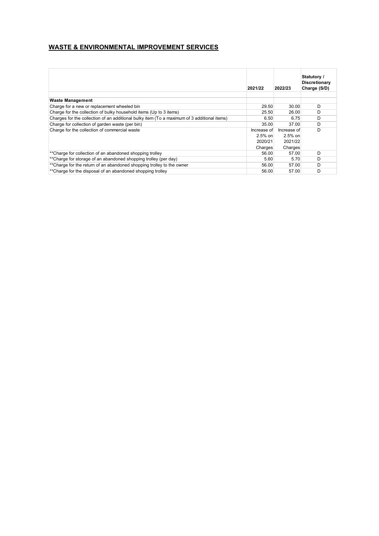#### **WASTE & ENVIRONMENTAL IMPROVEMENT SERVICES**

|                                                                                             | 2021/22     | 2022/23     | Statutory /<br><b>Discretionary</b><br>Charge (S/D) |
|---------------------------------------------------------------------------------------------|-------------|-------------|-----------------------------------------------------|
|                                                                                             |             |             |                                                     |
| <b>Waste Management</b>                                                                     |             |             |                                                     |
| Charge for a new or replacement wheeled bin                                                 | 29.50       | 30.00       | D                                                   |
| Charge for the collection of bulky household items (Up to 3 items)                          | 25.50       | 26.00       | D                                                   |
| Charges for the collection of an additional bulky item (To a maximum of 3 additional items) | 6.50        | 6.75        | D                                                   |
| Charge for collection of garden waste (per bin)                                             | 35.00       | 37.00       | D                                                   |
| Charge for the collection of commercial waste                                               | Increase of | Increase of | D                                                   |
|                                                                                             | $2.5%$ on   | $2.5%$ on   |                                                     |
|                                                                                             | 2020/21     | 2021/22     |                                                     |
|                                                                                             | Charges     | Charges     |                                                     |
| **Charge for collection of an abandoned shopping trolley                                    | 56.00       | 57.00       | D                                                   |
| **Charge for storage of an abandoned shopping trolley (per day)                             | 5.60        | 5.70        | D                                                   |
| ** Charge for the return of an abandoned shopping trolley to the owner                      | 56.00       | 57.00       | D                                                   |
| **Charge for the disposal of an abandoned shopping trolley                                  | 56.00       | 57.00       | D                                                   |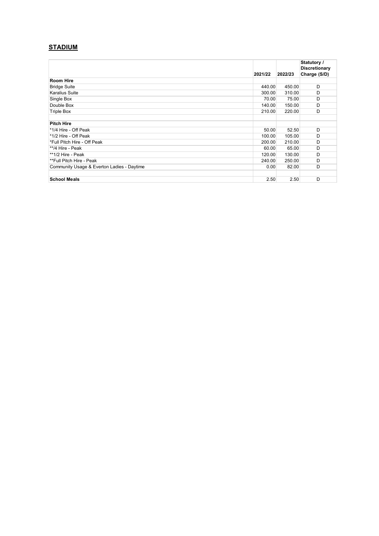## **STADIUM**

|                                            | 2021/22 | 2022/23 | Statutory /<br><b>Discretionary</b><br>Charge (S/D) |
|--------------------------------------------|---------|---------|-----------------------------------------------------|
| <b>Room Hire</b>                           |         |         |                                                     |
| <b>Bridge Suite</b>                        | 440.00  | 450.00  | D                                                   |
| <b>Karalius Suite</b>                      | 300.00  | 310.00  | D                                                   |
| Single Box                                 | 70.00   | 75.00   | D                                                   |
| Double Box                                 | 140.00  | 150.00  | D                                                   |
| Triple Box                                 | 210.00  | 220.00  | D                                                   |
|                                            |         |         |                                                     |
| <b>Pitch Hire</b>                          |         |         |                                                     |
| *1/4 Hire - Off Peak                       | 50.00   | 52.50   | D                                                   |
| *1/2 Hire - Off Peak                       | 100.00  | 105.00  | D                                                   |
| *Full Pitch Hire - Off Peak                | 200.00  | 210.00  | D                                                   |
| **/4 Hire - Peak                           | 60.00   | 65.00   | D                                                   |
| **1/2 Hire - Peak                          | 120.00  | 130.00  | D                                                   |
| **Full Pitch Hire - Peak                   | 240.00  | 250.00  | D                                                   |
| Community Usage & Everton Ladies - Daytime | 0.00    | 82.00   | D                                                   |
|                                            |         |         |                                                     |
| <b>School Meals</b>                        | 2.50    | 2.50    | D                                                   |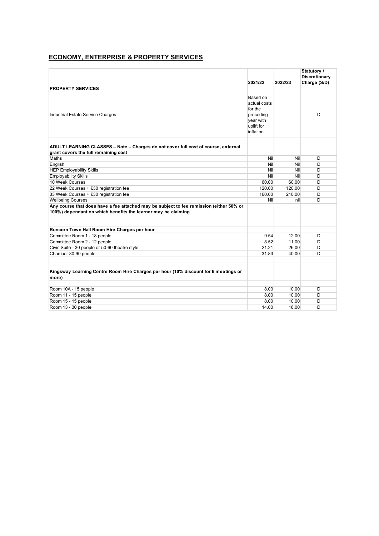#### **ECONOMY, ENTERPRISE & PROPERTY SERVICES**

|                                                                                                                                                          |                                                                                          |         | Statutory /<br><b>Discretionary</b> |
|----------------------------------------------------------------------------------------------------------------------------------------------------------|------------------------------------------------------------------------------------------|---------|-------------------------------------|
|                                                                                                                                                          | 2021/22                                                                                  | 2022/23 | Charge (S/D)                        |
| <b>PROPERTY SERVICES</b>                                                                                                                                 |                                                                                          |         |                                     |
| Industrial Estate Service Charges                                                                                                                        | Based on<br>actual costs<br>for the<br>preceding<br>vear with<br>uplift for<br>inflation |         | D                                   |
| ADULT LEARNING CLASSES - Note - Charges do not cover full cost of course, external                                                                       |                                                                                          |         |                                     |
| grant covers the full remaining cost                                                                                                                     |                                                                                          |         |                                     |
| Maths                                                                                                                                                    | Nil                                                                                      | Nil     | D                                   |
| English                                                                                                                                                  | Nil                                                                                      | Nil     | D                                   |
| <b>HEP Employability Skills</b>                                                                                                                          | Nil                                                                                      | Nil     | D                                   |
| <b>Employability Skills</b>                                                                                                                              | Nil                                                                                      | Nil     | D                                   |
| 10 Week Courses                                                                                                                                          | 60.00                                                                                    | 60.00   | D                                   |
| 22 Week Courses + £30 registration fee                                                                                                                   | 120.00                                                                                   | 120.00  | D                                   |
| 33 Week Courses + £30 registration fee                                                                                                                   | 160.00                                                                                   | 210.00  | D                                   |
| <b>Wellbeing Courses</b>                                                                                                                                 | Nil                                                                                      | nil     | D                                   |
| Any course that does have a fee attached may be subject to fee remission (either 50% or<br>100%) dependant on which benefits the learner may be claiming |                                                                                          |         |                                     |
| Runcorn Town Hall Room Hire Charges per hour                                                                                                             |                                                                                          |         |                                     |
| Committee Room 1 - 18 people                                                                                                                             | 9.54                                                                                     | 12.00   | D                                   |
| Committee Room 2 - 12 people                                                                                                                             | 8.52                                                                                     | 11.00   | D                                   |
| Civic Suite - 30 people or 50-60 theatre style                                                                                                           | 21.21                                                                                    | 26.00   | D                                   |
| Chamber 80-90 people                                                                                                                                     | 31.83                                                                                    | 40.00   | D                                   |
|                                                                                                                                                          |                                                                                          |         |                                     |
| Kingsway Learning Centre Room Hire Charges per hour (10% discount for 6 meetings or<br>more)                                                             |                                                                                          |         |                                     |
| Room 10A - 15 people                                                                                                                                     | 8.00                                                                                     | 10.00   | D                                   |
| Room 11 - 15 people                                                                                                                                      | 8.00                                                                                     | 10.00   | D                                   |
| Room 15 - 15 people                                                                                                                                      | 8.00                                                                                     | 10.00   | D                                   |
| Room 13 - 30 people                                                                                                                                      | 14.00                                                                                    | 18.00   | D                                   |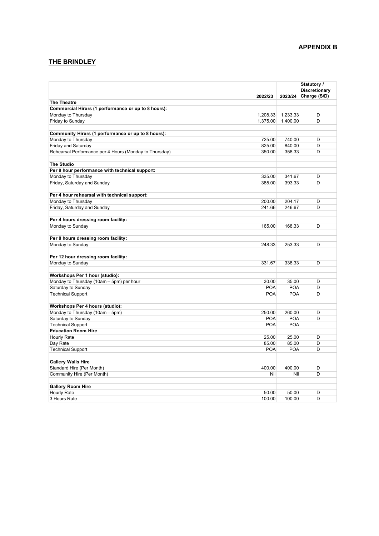# **THE BRINDLEY**

|                                                        |                |                | Statutory /<br><b>Discretionary</b> |
|--------------------------------------------------------|----------------|----------------|-------------------------------------|
|                                                        | 2022/23        | 2023/24        | Charge (S/D)                        |
| <b>The Theatre</b>                                     |                |                |                                     |
| Commercial Hirers (1 performance or up to 8 hours):    |                |                |                                     |
| Monday to Thursday                                     | 1,208.33       | 1,233.33       | D                                   |
| Friday to Sunday                                       | 1,375.00       | 1,400.00       | D                                   |
|                                                        |                |                |                                     |
| Community Hirers (1 performance or up to 8 hours):     |                |                |                                     |
| Monday to Thursday                                     | 725.00         | 740.00         | D                                   |
| Friday and Saturday                                    | 825.00         | 840.00         | D                                   |
| Rehearsal Performance per 4 Hours (Monday to Thursday) | 350.00         | 358.33         | D                                   |
| <b>The Studio</b>                                      |                |                |                                     |
| Per 8 hour performance with technical support:         |                |                |                                     |
| Monday to Thursday                                     | 335.00         | 341.67         | D                                   |
| Friday, Saturday and Sunday                            | 385.00         | 393.33         | D                                   |
|                                                        |                |                |                                     |
| Per 4 hour rehearsal with technical support:           |                |                |                                     |
| Monday to Thursday                                     | 200.00         | 204.17         | D                                   |
| Friday, Saturday and Sunday                            | 241.66         | 246.67         | D                                   |
|                                                        |                |                |                                     |
| Per 4 hours dressing room facility:                    |                |                |                                     |
| Monday to Sunday                                       | 165.00         | 168.33         | D                                   |
|                                                        |                |                |                                     |
| Per 8 hours dressing room facility:                    |                |                |                                     |
| Monday to Sunday                                       | 248.33         | 253.33         | D                                   |
| Per 12 hour dressing room facility:                    |                |                |                                     |
| Monday to Sunday                                       | 331.67         | 338.33         | D                                   |
|                                                        |                |                |                                     |
| Workshops Per 1 hour (studio):                         |                |                |                                     |
| Monday to Thursday (10am - 5pm) per hour               | 30.00          | 35.00          | D                                   |
| Saturday to Sunday                                     | <b>POA</b>     | <b>POA</b>     | D                                   |
| <b>Technical Support</b>                               | <b>POA</b>     | <b>POA</b>     | D                                   |
|                                                        |                |                |                                     |
| Workshops Per 4 hours (studio):                        |                |                |                                     |
| Monday to Thursday (10am - 5pm)                        | 250.00         | 260.00         | D                                   |
| Saturday to Sunday                                     | <b>POA</b>     | <b>POA</b>     | D                                   |
| <b>Technical Support</b>                               | <b>POA</b>     | <b>POA</b>     |                                     |
| <b>Education Room Hire</b>                             |                |                |                                     |
| Hourly Rate                                            | 25.00<br>85.00 | 25.00<br>85.00 | D                                   |
| Day Rate                                               |                |                | D                                   |
| <b>Technical Support</b>                               | <b>POA</b>     | <b>POA</b>     | D                                   |
| <b>Gallery Walls Hire</b>                              |                |                |                                     |
| Standard Hire (Per Month)                              | 400.00         | 400.00         | D                                   |
| Community Hire (Per Month)                             | Nil            | Nil            | D                                   |
|                                                        |                |                |                                     |
| <b>Gallery Room Hire</b>                               |                |                |                                     |
| Hourly Rate                                            | 50.00          | 50.00          | D                                   |
| 3 Hours Rate                                           | 100.00         | 100.00         | D                                   |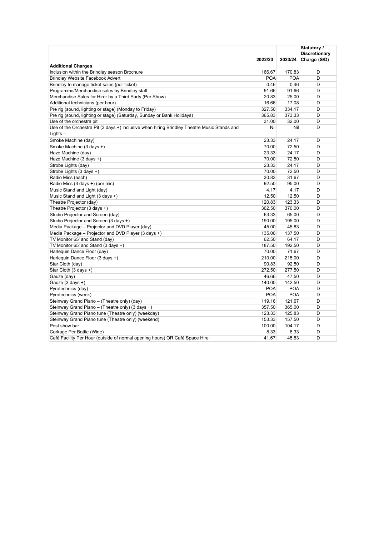|                                                                                             |            |            | Statutory /<br>Discretionary |
|---------------------------------------------------------------------------------------------|------------|------------|------------------------------|
|                                                                                             | 2022/23    | 2023/24    | Charge (S/D)                 |
| <b>Additional Charges</b>                                                                   |            |            |                              |
| Inclusion within the Brindley season Brochure                                               | 166.67     | 170.83     | D                            |
| <b>Brindley Website Facebook Advert</b>                                                     | <b>POA</b> | <b>POA</b> | D                            |
| Brindley to manage ticket sales (per ticket)                                                | 0.46       | 0.46       | D                            |
| Programme/Merchandise sales by Brindley staff                                               | 91.66      | 91.66      | D                            |
| Merchandise Sales for Hirer by a Third Party (Per Show)                                     | 20.83      | 25.00      | D                            |
| Additional technicians (per hour)                                                           | 16.66      | 17.08      | D                            |
| Pre rig (sound, lighting or stage) (Monday to Friday)                                       | 327.50     | 334.17     | D                            |
| Pre rig (sound, lighting or stage) (Saturday, Sunday or Bank Holidays)                      | 365.83     | 373.33     | D                            |
| Use of the orchestra pit                                                                    | 31.00      | 32.00      | D                            |
| Use of the Orchestra Pit (3 days +) Inclusive when hiring Brindley Theatre Music Stands and | Nil        | Nil        | D                            |
| $Lights -$                                                                                  |            |            |                              |
| Smoke Machine (day)                                                                         | 23.33      | 24.17      | D                            |
| Smoke Machine (3 days +)                                                                    | 70.00      | 72.50      | D                            |
| Haze Machine (day)                                                                          | 23.33      | 24.17      | D                            |
| Haze Machine (3 days +)                                                                     | 70.00      | 72.50      | D                            |
| Strobe Lights (day)                                                                         | 23.33      | 24.17      | D                            |
| Strobe Lights (3 days +)                                                                    | 70.00      | 72.50      | D                            |
| Radio Mics (each)                                                                           | 30.83      | 31.67      | D                            |
| Radio Mics (3 days +) (per mic)                                                             | 92.50      | 95.00      | D                            |
| Music Stand and Light (day)                                                                 | 4.17       | 4.17       | D                            |
| Music Stand and Light (3 days +)                                                            | 12.50      | 12.50      | D                            |
| Theatre Projector (day)                                                                     | 120.83     | 123.33     | D                            |
| Theatre Projector (3 days +)                                                                | 362.50     | 370.00     | D                            |
| Studio Projector and Screen (day)                                                           | 63.33      | 65.00      | D                            |
| Studio Projector and Screen (3 days +)                                                      | 190.00     | 195.00     | D                            |
| Media Package - Projector and DVD Player (day)                                              | 45.00      | 45.83      | D                            |
| Media Package - Projector and DVD Player (3 days +)                                         | 135.00     | 137.50     | D                            |
| TV Monitor 65' and Stand (day)                                                              | 62.50      | 64.17      | D                            |
| TV Monitor 65' and Stand (3 days +)                                                         | 187.50     | 192.50     | D                            |
| Harlequin Dance Floor (day)                                                                 | 70.00      | 71.67      | D                            |
| Harlequin Dance Floor (3 days +)                                                            | 210.00     | 215.00     | D                            |
| Star Cloth (day)                                                                            | 90.83      | 92.50      | D                            |
| Star Cloth (3 days +)                                                                       | 272.50     | 277.50     | D                            |
| Gauze (day)                                                                                 | 46.66      | 47.50      | D                            |
| Gauze $(3$ days $+)$                                                                        | 140.00     | 142.50     | D                            |
| Pyrotechnics (day)                                                                          | <b>POA</b> | <b>POA</b> | D                            |
| Pyrotechnics (week)                                                                         | <b>POA</b> | <b>POA</b> | D                            |
| Steinway Grand Piano - (Theatre only) (day)                                                 | 119.16     | 121.67     | D                            |
| Steinway Grand Piano - (Theatre only) (3 days +)                                            | 357.50     | 365.00     | D                            |
| Steinway Grand Piano tune (Theatre only) (weekday)                                          | 123.33     | 125.83     | D                            |
| Steinway Grand Piano tune (Theatre only) (weekend)                                          | 153.33     | 157.50     | D                            |
| Post show bar                                                                               | 100.00     | 104.17     | D                            |
| Corkage Per Bottle (Wine)                                                                   | 8.33       | 8.33       | D                            |
| Café Facility Per Hour (outside of normal opening hours) OR Café Space Hire                 | 41.67      | 45.83      | D                            |